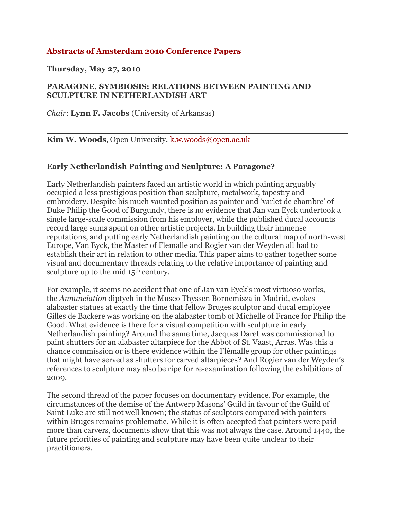# **Abstracts of Amsterdam 2010 Conference Papers**

**Thursday, May 27, 2010**

#### **PARAGONE, SYMBIOSIS: RELATIONS BETWEEN PAINTING AND SCULPTURE IN NETHERLANDISH ART**

*Chair*: **Lynn F. Jacobs** (University of Arkansas)

**Kim W. Woods**, Open University, k.w.woods@open.ac.uk

#### **Early Netherlandish Painting and Sculpture: A Paragone?**

Early Netherlandish painters faced an artistic world in which painting arguably occupied a less prestigious position than sculpture, metalwork, tapestry and embroidery. Despite his much vaunted position as painter and 'varlet de chambre' of Duke Philip the Good of Burgundy, there is no evidence that Jan van Eyck undertook a single large-scale commission from his employer, while the published ducal accounts record large sums spent on other artistic projects. In building their immense reputations, and putting early Netherlandish painting on the cultural map of north-west Europe, Van Eyck, the Master of Flemalle and Rogier van der Weyden all had to establish their art in relation to other media. This paper aims to gather together some visual and documentary threads relating to the relative importance of painting and sculpture up to the mid  $15<sup>th</sup>$  century.

For example, it seems no accident that one of Jan van Eyck's most virtuoso works, the *Annunciation* diptych in the Museo Thyssen Bornemisza in Madrid, evokes alabaster statues at exactly the time that fellow Bruges sculptor and ducal employee Gilles de Backere was working on the alabaster tomb of Michelle of France for Philip the Good. What evidence is there for a visual competition with sculpture in early Netherlandish painting? Around the same time, Jacques Daret was commissioned to paint shutters for an alabaster altarpiece for the Abbot of St. Vaast, Arras. Was this a chance commission or is there evidence within the Flémalle group for other paintings that might have served as shutters for carved altarpieces? And Rogier van der Weyden's references to sculpture may also be ripe for re-examination following the exhibitions of 2009.

The second thread of the paper focuses on documentary evidence. For example, the circumstances of the demise of the Antwerp Masons' Guild in favour of the Guild of Saint Luke are still not well known; the status of sculptors compared with painters within Bruges remains problematic. While it is often accepted that painters were paid more than carvers, documents show that this was not always the case. Around 1440, the future priorities of painting and sculpture may have been quite unclear to their practitioners.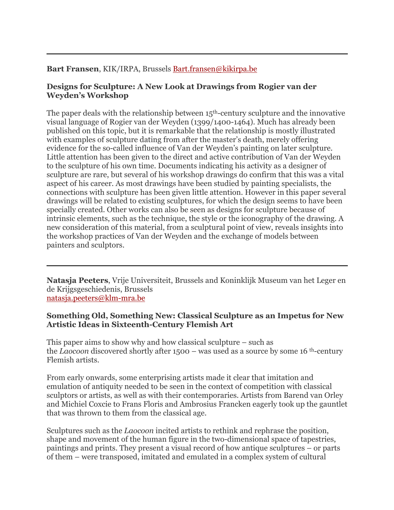## **Bart Fransen**, KIK/IRPA, Brussels Bart.fransen@kikirpa.be

### **Designs for Sculpture: A New Look at Drawings from Rogier van der Weyden's Workshop**

The paper deals with the relationship between  $15<sup>th</sup>$ -century sculpture and the innovative visual language of Rogier van der Weyden (1399/1400-1464). Much has already been published on this topic, but it is remarkable that the relationship is mostly illustrated with examples of sculpture dating from after the master's death, merely offering evidence for the so-called influence of Van der Weyden's painting on later sculpture. Little attention has been given to the direct and active contribution of Van der Weyden to the sculpture of his own time. Documents indicating his activity as a designer of sculpture are rare, but several of his workshop drawings do confirm that this was a vital aspect of his career. As most drawings have been studied by painting specialists, the connections with sculpture has been given little attention. However in this paper several drawings will be related to existing sculptures, for which the design seems to have been specially created. Other works can also be seen as designs for sculpture because of intrinsic elements, such as the technique, the style or the iconography of the drawing. A new consideration of this material, from a sculptural point of view, reveals insights into the workshop practices of Van der Weyden and the exchange of models between painters and sculptors.

**Natasja Peeters**, Vrije Universiteit, Brussels and Koninklijk Museum van het Leger en de Krijgsgeschiedenis, Brussels natasja.peeters@klm-mra.be

### **Something Old, Something New: Classical Sculpture as an Impetus for New Artistic Ideas in Sixteenth-Century Flemish Art**

This paper aims to show why and how classical sculpture – such as the *Laocoon* discovered shortly after 1500 – was used as a source by some 16 th-century Flemish artists.

From early onwards, some enterprising artists made it clear that imitation and emulation of antiquity needed to be seen in the context of competition with classical sculptors or artists, as well as with their contemporaries. Artists from Barend van Orley and Michiel Coxcie to Frans Floris and Ambrosius Francken eagerly took up the gauntlet that was thrown to them from the classical age.

Sculptures such as the *Laocoon* incited artists to rethink and rephrase the position, shape and movement of the human figure in the two-dimensional space of tapestries, paintings and prints. They present a visual record of how antique sculptures – or parts of them – were transposed, imitated and emulated in a complex system of cultural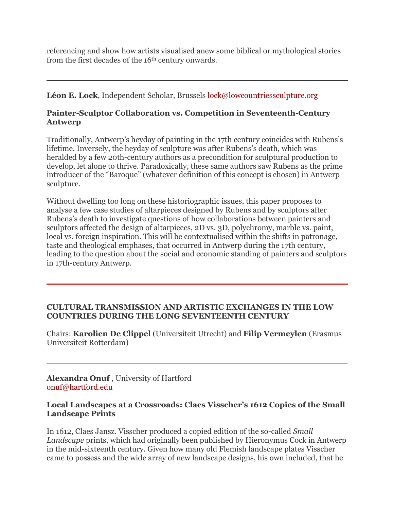referencing and show how artists visualised anew some biblical or mythological stories from the first decades of the 16<sup>th</sup> century onwards.

**Léon E. Lock**, Independent Scholar, Brussels lock@lowcountriessculpture.org

# **Painter-Sculptor Collaboration vs. Competition in Seventeenth-Century Antwerp**

Traditionally, Antwerp's heyday of painting in the 17th century coincides with Rubens's lifetime. Inversely, the heyday of sculpture was after Rubens's death, which was heralded by a few 20th-century authors as a precondition for sculptural production to develop, let alone to thrive. Paradoxically, these same authors saw Rubens as the prime introducer of the "Baroque" (whatever definition of this concept is chosen) in Antwerp sculpture.

Without dwelling too long on these historiographic issues, this paper proposes to analyse a few case studies of altarpieces designed by Rubens and by sculptors after Rubens's death to investigate questions of how collaborations between painters and sculptors affected the design of altarpieces, 2D vs. 3D, polychromy, marble vs. paint, local vs. foreign inspiration. This will be contextualised within the shifts in patronage, taste and theological emphases, that occurred in Antwerp during the 17th century, leading to the question about the social and economic standing of painters and sculptors in 17th-century Antwerp.

#### **CULTURAL TRANSMISSION AND ARTISTIC EXCHANGES IN THE LOW COUNTRIES DURING THE LONG SEVENTEENTH CENTURY**

Chairs: **Karolien De Clippel** (Universiteit Utrecht) and **Filip Vermeylen** (Erasmus Universiteit Rotterdam)

**Alexandra Onuf** , University of Hartford onuf@hartford.edu

### **Local Landscapes at a Crossroads: Claes Visscher's 1612 Copies of the Small Landscape Prints**

In 1612, Claes Jansz. Visscher produced a copied edition of the so-called *Small Landscape* prints, which had originally been published by Hieronymus Cock in Antwerp in the mid-sixteenth century. Given how many old Flemish landscape plates Visscher came to possess and the wide array of new landscape designs, his own included, that he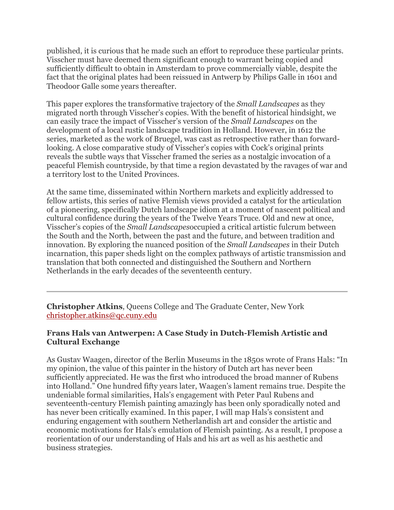published, it is curious that he made such an effort to reproduce these particular prints. Visscher must have deemed them significant enough to warrant being copied and sufficiently difficult to obtain in Amsterdam to prove commercially viable, despite the fact that the original plates had been reissued in Antwerp by Philips Galle in 1601 and Theodoor Galle some years thereafter.

This paper explores the transformative trajectory of the *Small Landscapes* as they migrated north through Visscher's copies. With the benefit of historical hindsight, we can easily trace the impact of Visscher's version of the *Small Landscapes* on the development of a local rustic landscape tradition in Holland. However, in 1612 the series, marketed as the work of Bruegel, was cast as retrospective rather than forwardlooking. A close comparative study of Visscher's copies with Cock's original prints reveals the subtle ways that Visscher framed the series as a nostalgic invocation of a peaceful Flemish countryside, by that time a region devastated by the ravages of war and a territory lost to the United Provinces.

At the same time, disseminated within Northern markets and explicitly addressed to fellow artists, this series of native Flemish views provided a catalyst for the articulation of a pioneering, specifically Dutch landscape idiom at a moment of nascent political and cultural confidence during the years of the Twelve Years Truce. Old and new at once, Visscher's copies of the *Small Landscapes*occupied a critical artistic fulcrum between the South and the North, between the past and the future, and between tradition and innovation. By exploring the nuanced position of the *Small Landscapes* in their Dutch incarnation, this paper sheds light on the complex pathways of artistic transmission and translation that both connected and distinguished the Southern and Northern Netherlands in the early decades of the seventeenth century.

**Christopher Atkins**, Queens College and The Graduate Center, New York christopher.atkins@qc.cuny.edu

# **Frans Hals van Antwerpen: A Case Study in Dutch-Flemish Artistic and Cultural Exchange**

As Gustav Waagen, director of the Berlin Museums in the 1850s wrote of Frans Hals: "In my opinion, the value of this painter in the history of Dutch art has never been sufficiently appreciated. He was the first who introduced the broad manner of Rubens into Holland." One hundred fifty years later, Waagen's lament remains true. Despite the undeniable formal similarities, Hals's engagement with Peter Paul Rubens and seventeenth-century Flemish painting amazingly has been only sporadically noted and has never been critically examined. In this paper, I will map Hals's consistent and enduring engagement with southern Netherlandish art and consider the artistic and economic motivations for Hals's emulation of Flemish painting. As a result, I propose a reorientation of our understanding of Hals and his art as well as his aesthetic and business strategies.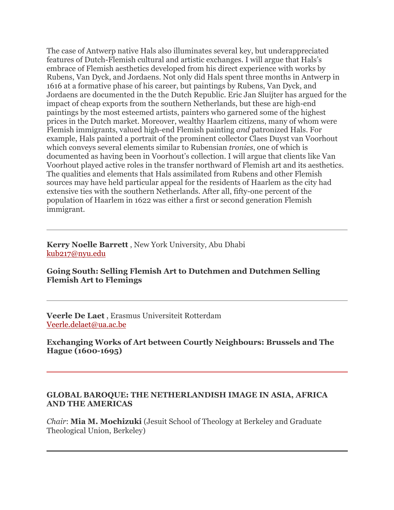The case of Antwerp native Hals also illuminates several key, but underappreciated features of Dutch-Flemish cultural and artistic exchanges. I will argue that Hals's embrace of Flemish aesthetics developed from his direct experience with works by Rubens, Van Dyck, and Jordaens. Not only did Hals spent three months in Antwerp in 1616 at a formative phase of his career, but paintings by Rubens, Van Dyck, and Jordaens are documented in the the Dutch Republic. Eric Jan Sluijter has argued for the impact of cheap exports from the southern Netherlands, but these are high-end paintings by the most esteemed artists, painters who garnered some of the highest prices in the Dutch market. Moreover, wealthy Haarlem citizens, many of whom were Flemish immigrants, valued high-end Flemish painting *and* patronized Hals. For example, Hals painted a portrait of the prominent collector Claes Duyst van Voorhout which conveys several elements similar to Rubensian *tronies*, one of which is documented as having been in Voorhout's collection. I will argue that clients like Van Voorhout played active roles in the transfer northward of Flemish art and its aesthetics. The qualities and elements that Hals assimilated from Rubens and other Flemish sources may have held particular appeal for the residents of Haarlem as the city had extensive ties with the southern Netherlands. After all, fifty-one percent of the population of Haarlem in 1622 was either a first or second generation Flemish immigrant.

#### **Kerry Noelle Barrett** , New York University, Abu Dhabi kub217@nyu.edu

### **Going South: Selling Flemish Art to Dutchmen and Dutchmen Selling Flemish Art to Flemings**

**Veerle De Laet** , Erasmus Universiteit Rotterdam Veerle.delaet@ua.ac.be

**Exchanging Works of Art between Courtly Neighbours: Brussels and The Hague (1600-1695)**

#### **GLOBAL BAROQUE: THE NETHERLANDISH IMAGE IN ASIA, AFRICA AND THE AMERICAS**

*Chair*: **Mia M. Mochizuki** (Jesuit School of Theology at Berkeley and Graduate Theological Union, Berkeley)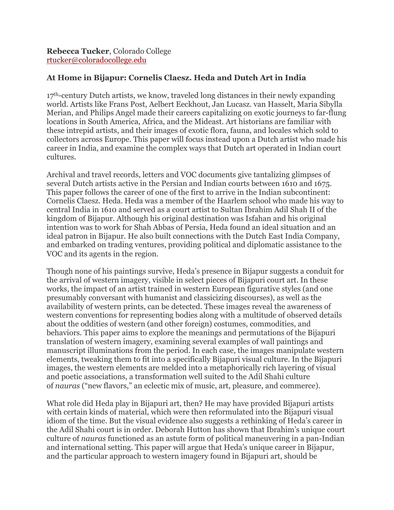# **At Home in Bijapur: Cornelis Claesz. Heda and Dutch Art in India**

 $17<sup>th</sup>$ -century Dutch artists, we know, traveled long distances in their newly expanding world. Artists like Frans Post, Aelbert Eeckhout, Jan Lucasz. van Hasselt, Maria Sibylla Merian, and Philips Angel made their careers capitalizing on exotic journeys to far-flung locations in South America, Africa, and the Mideast. Art historians are familiar with these intrepid artists, and their images of exotic flora, fauna, and locales which sold to collectors across Europe. This paper will focus instead upon a Dutch artist who made his career in India, and examine the complex ways that Dutch art operated in Indian court cultures.

Archival and travel records, letters and VOC documents give tantalizing glimpses of several Dutch artists active in the Persian and Indian courts between 1610 and 1675. This paper follows the career of one of the first to arrive in the Indian subcontinent: Cornelis Claesz. Heda. Heda was a member of the Haarlem school who made his way to central India in 1610 and served as a court artist to Sultan Ibrahim Adil Shah II of the kingdom of Bijapur. Although his original destination was Isfahan and his original intention was to work for Shah Abbas of Persia, Heda found an ideal situation and an ideal patron in Bijapur. He also built connections with the Dutch East India Company, and embarked on trading ventures, providing political and diplomatic assistance to the VOC and its agents in the region.

Though none of his paintings survive, Heda's presence in Bijapur suggests a conduit for the arrival of western imagery, visible in select pieces of Bijapuri court art. In these works, the impact of an artist trained in western European figurative styles (and one presumably conversant with humanist and classicizing discourses), as well as the availability of western prints, can be detected. These images reveal the awareness of western conventions for representing bodies along with a multitude of observed details about the oddities of western (and other foreign) costumes, commodities, and behaviors. This paper aims to explore the meanings and permutations of the Bijapuri translation of western imagery, examining several examples of wall paintings and manuscript illuminations from the period. In each case, the images manipulate western elements, tweaking them to fit into a specifically Bijapuri visual culture. In the Bijapuri images, the western elements are melded into a metaphorically rich layering of visual and poetic associations, a transformation well suited to the Adil Shahi culture of *nauras* ("new flavors," an eclectic mix of music, art, pleasure, and commerce).

What role did Heda play in Bijapuri art, then? He may have provided Bijapuri artists with certain kinds of material, which were then reformulated into the Bijapuri visual idiom of the time. But the visual evidence also suggests a rethinking of Heda's career in the Adil Shahi court is in order. Deborah Hutton has shown that Ibrahim's unique court culture of *nauras* functioned as an astute form of political maneuvering in a pan-Indian and international setting. This paper will argue that Heda's unique career in Bijapur, and the particular approach to western imagery found in Bijapuri art, should be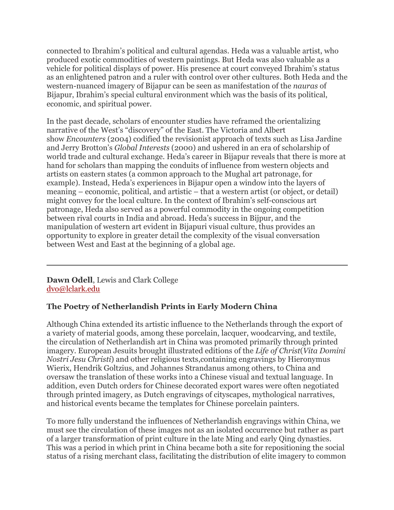connected to Ibrahim's political and cultural agendas. Heda was a valuable artist, who produced exotic commodities of western paintings. But Heda was also valuable as a vehicle for political displays of power. His presence at court conveyed Ibrahim's status as an enlightened patron and a ruler with control over other cultures. Both Heda and the western-nuanced imagery of Bijapur can be seen as manifestation of the *nauras* of Bijapur, Ibrahim's special cultural environment which was the basis of its political, economic, and spiritual power.

In the past decade, scholars of encounter studies have reframed the orientalizing narrative of the West's "discovery" of the East. The Victoria and Albert show *Encounters* (2004) codified the revisionist approach of texts such as Lisa Jardine and Jerry Brotton's *Global Interests* (2000) and ushered in an era of scholarship of world trade and cultural exchange. Heda's career in Bijapur reveals that there is more at hand for scholars than mapping the conduits of influence from western objects and artists on eastern states (a common approach to the Mughal art patronage, for example). Instead, Heda's experiences in Bijapur open a window into the layers of meaning – economic, political, and artistic – that a western artist (or object, or detail) might convey for the local culture. In the context of Ibrahim's self-conscious art patronage, Heda also served as a powerful commodity in the ongoing competition between rival courts in India and abroad. Heda's success in Bijpur, and the manipulation of western art evident in Bijapuri visual culture, thus provides an opportunity to explore in greater detail the complexity of the visual conversation between West and East at the beginning of a global age.

**Dawn Odell**, Lewis and Clark College dvo@lclark.edu

# **The Poetry of Netherlandish Prints in Early Modern China**

Although China extended its artistic influence to the Netherlands through the export of a variety of material goods, among these porcelain, lacquer, woodcarving, and textile, the circulation of Netherlandish art in China was promoted primarily through printed imagery. European Jesuits brought illustrated editions of the *Life of Christ*(*Vita Domini Nostri Jesu Christi*) and other religious texts,containing engravings by Hieronymus Wierix, Hendrik Goltzius, and Johannes Strandanus among others, to China and oversaw the translation of these works into a Chinese visual and textual language. In addition, even Dutch orders for Chinese decorated export wares were often negotiated through printed imagery, as Dutch engravings of cityscapes, mythological narratives, and historical events became the templates for Chinese porcelain painters.

To more fully understand the influences of Netherlandish engravings within China, we must see the circulation of these images not as an isolated occurrence but rather as part of a larger transformation of print culture in the late Ming and early Qing dynasties. This was a period in which print in China became both a site for repositioning the social status of a rising merchant class, facilitating the distribution of elite imagery to common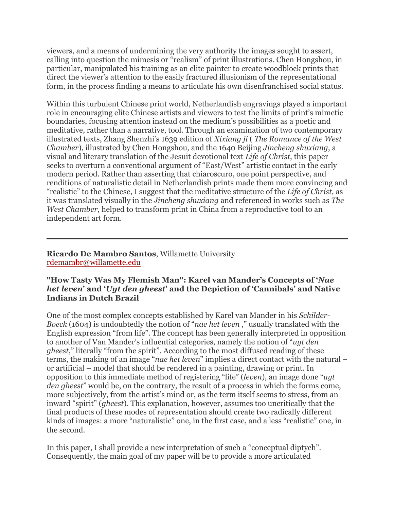viewers, and a means of undermining the very authority the images sought to assert, calling into question the mimesis or "realism" of print illustrations. Chen Hongshou, in particular, manipulated his training as an elite painter to create woodblock prints that direct the viewer's attention to the easily fractured illusionism of the representational form, in the process finding a means to articulate his own disenfranchised social status.

Within this turbulent Chinese print world, Netherlandish engravings played a important role in encouraging elite Chinese artists and viewers to test the limits of print's mimetic boundaries, focusing attention instead on the medium's possibilities as a poetic and meditative, rather than a narrative, tool. Through an examination of two contemporary illustrated texts, Zhang Shenzhi's 1639 edition of *Xixiang ji* ( *The Romance of the West Chamber*), illustrated by Chen Hongshou, and the 1640 Beijing *Jincheng shuxiang*, a visual and literary translation of the Jesuit devotional text *Life of Christ*, this paper seeks to overturn a conventional argument of "East/West" artistic contact in the early modern period. Rather than asserting that chiaroscuro, one point perspective, and renditions of naturalistic detail in Netherlandish prints made them more convincing and "realistic" to the Chinese, I suggest that the meditative structure of the *Life of Christ,* as it was translated visually in the *Jincheng shuxiang* and referenced in works such as *The West Chamber*, helped to transform print in China from a reproductive tool to an independent art form.

**Ricardo De Mambro Santos**, Willamette University rdemambr@willamette.edu

#### **"How Tasty Was My Flemish Man": Karel van Mander's Concepts of '***Nae het leven***' and '***Uyt den gheest***' and the Depiction of 'Cannibals' and Native Indians in Dutch Brazil**

One of the most complex concepts established by Karel van Mander in his *Schilder-Boeck* (1604) is undoubtedly the notion of "*nae het leven* ," usually translated with the English expression "from life". The concept has been generally interpreted in opposition to another of Van Mander's influential categories, namely the notion of "*uyt den gheest*," literally "from the spirit". According to the most diffused reading of these terms, the making of an image "*nae het leven*" implies a direct contact with the natural – or artificial – model that should be rendered in a painting, drawing or print. In opposition to this immediate method of registering "life" (*leven*), an image done "*uyt den gheest*" would be, on the contrary, the result of a process in which the forms come, more subjectively, from the artist's mind or, as the term itself seems to stress, from an inward "spirit" (*gheest*). This explanation, however, assumes too uncritically that the final products of these modes of representation should create two radically different kinds of images: a more "naturalistic" one, in the first case, and a less "realistic" one, in the second.

In this paper, I shall provide a new interpretation of such a "conceptual diptych". Consequently, the main goal of my paper will be to provide a more articulated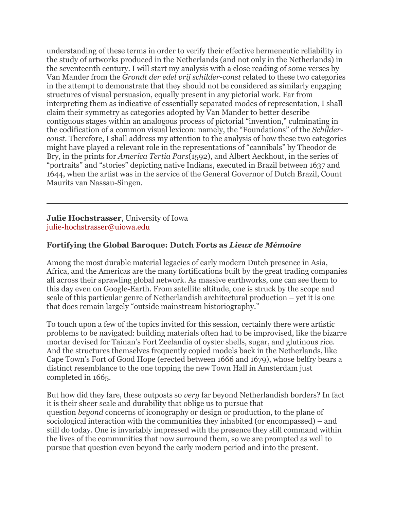understanding of these terms in order to verify their effective hermeneutic reliability in the study of artworks produced in the Netherlands (and not only in the Netherlands) in the seventeenth century. I will start my analysis with a close reading of some verses by Van Mander from the *Grondt der edel vrij schilder-const* related to these two categories in the attempt to demonstrate that they should not be considered as similarly engaging structures of visual persuasion, equally present in any pictorial work. Far from interpreting them as indicative of essentially separated modes of representation, I shall claim their symmetry as categories adopted by Van Mander to better describe contiguous stages within an analogous process of pictorial "invention," culminating in the codification of a common visual lexicon: namely, the "Foundations" of the *Schilderconst*. Therefore, I shall address my attention to the analysis of how these two categories might have played a relevant role in the representations of "cannibals" by Theodor de Bry, in the prints for *America Tertia Pars*(1592), and Albert Aeckhout, in the series of "portraits" and "stories" depicting native Indians, executed in Brazil between 1637 and 1644, when the artist was in the service of the General Governor of Dutch Brazil, Count Maurits van Nassau-Singen.

#### **Julie Hochstrasser**, University of Iowa julie-hochstrasser@uiowa.edu

# **Fortifying the Global Baroque: Dutch Forts as** *Lieux de Mémoire*

Among the most durable material legacies of early modern Dutch presence in Asia, Africa, and the Americas are the many fortifications built by the great trading companies all across their sprawling global network. As massive earthworks, one can see them to this day even on Google-Earth. From satellite altitude, one is struck by the scope and scale of this particular genre of Netherlandish architectural production – yet it is one that does remain largely "outside mainstream historiography."

To touch upon a few of the topics invited for this session, certainly there were artistic problems to be navigated: building materials often had to be improvised, like the bizarre mortar devised for Tainan's Fort Zeelandia of oyster shells, sugar, and glutinous rice. And the structures themselves frequently copied models back in the Netherlands, like Cape Town's Fort of Good Hope (erected between 1666 and 1679), whose belfry bears a distinct resemblance to the one topping the new Town Hall in Amsterdam just completed in 1665.

But how did they fare, these outposts so *very* far beyond Netherlandish borders? In fact it is their sheer scale and durability that oblige us to pursue that question *beyond* concerns of iconography or design or production, to the plane of sociological interaction with the communities they inhabited (or encompassed) – and still do today. One is invariably impressed with the presence they still command within the lives of the communities that now surround them, so we are prompted as well to pursue that question even beyond the early modern period and into the present.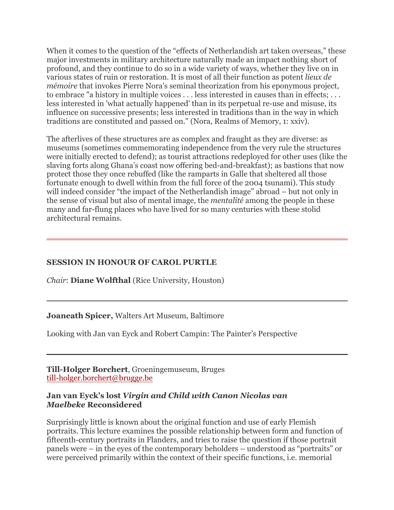When it comes to the question of the "effects of Netherlandish art taken overseas," these major investments in military architecture naturally made an impact nothing short of profound, and they continue to do so in a wide variety of ways, whether they live on in various states of ruin or restoration. It is most of all their function as potent *lieux de mémoire* that invokes Pierre Nora's seminal theorization from his eponymous project, to embrace "a history in multiple voices . . . less interested in causes than in effects; . . . less interested in 'what actually happened' than in its perpetual re-use and misuse, its influence on successive presents; less interested in traditions than in the way in which traditions are constituted and passed on." (Nora, Realms of Memory, 1: xxiv).

The afterlives of these structures are as complex and fraught as they are diverse: as museums (sometimes commemorating independence from the very rule the structures were initially erected to defend); as tourist attractions redeployed for other uses (like the slaving forts along Ghana's coast now offering bed-and-breakfast); as bastions that now protect those they once rebuffed (like the ramparts in Galle that sheltered all those fortunate enough to dwell within from the full force of the 2004 tsunami). This study will indeed consider "the impact of the Netherlandish image" abroad – but not only in the sense of visual but also of mental image, the *mentalité* among the people in these many and far-flung places who have lived for so many centuries with these stolid architectural remains.

# **SESSION IN HONOUR OF CAROL PURTLE**

*Chair*: **Diane Wolfthal** (Rice University, Houston)

# **Joaneath Spicer,** Walters Art Museum, Baltimore

Looking with Jan van Eyck and Robert Campin: The Painter's Perspective

**Till-Holger Borchert**, Groeningemuseum, Bruges till-holger.borchert@brugge.be

### **Jan van Eyck's lost** *Virgin and Child with Canon Nicolas van Maelbeke* **Reconsidered**

Surprisingly little is known about the original function and use of early Flemish portraits. This lecture examines the possible relationship between form and function of fifteenth-century portraits in Flanders, and tries to raise the question if those portrait panels were – in the eyes of the contemporary beholders – understood as "portraits" or were perceived primarily within the context of their specific functions, i.e. memorial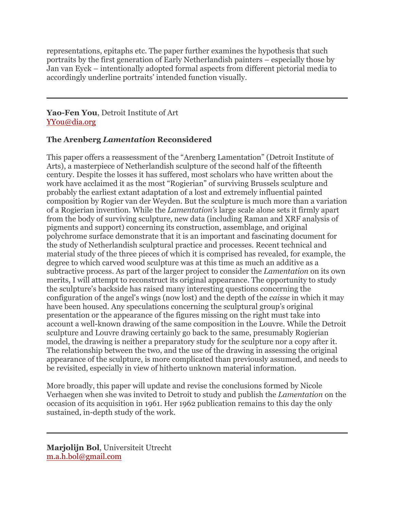representations, epitaphs etc. The paper further examines the hypothesis that such portraits by the first generation of Early Netherlandish painters – especially those by Jan van Eyck – intentionally adopted formal aspects from different pictorial media to accordingly underline portraits' intended function visually.

# **Yao-Fen You**, Detroit Institute of Art YYou@dia.org

# **The Arenberg** *Lamentation* **Reconsidered**

This paper offers a reassessment of the "Arenberg Lamentation" (Detroit Institute of Arts), a masterpiece of Netherlandish sculpture of the second half of the fifteenth century. Despite the losses it has suffered, most scholars who have written about the work have acclaimed it as the most "Rogierian" of surviving Brussels sculpture and probably the earliest extant adaptation of a lost and extremely influential painted composition by Rogier van der Weyden. But the sculpture is much more than a variation of a Rogierian invention. While the *Lamentation's* large scale alone sets it firmly apart from the body of surviving sculpture, new data (including Raman and XRF analysis of pigments and support) concerning its construction, assemblage, and original polychrome surface demonstrate that it is an important and fascinating document for the study of Netherlandish sculptural practice and processes. Recent technical and material study of the three pieces of which it is comprised has revealed, for example, the degree to which carved wood sculpture was at this time as much an additive as a subtractive process. As part of the larger project to consider the *Lamentation* on its own merits, I will attempt to reconstruct its original appearance. The opportunity to study the sculpture's backside has raised many interesting questions concerning the configuration of the angel's wings (now lost) and the depth of the *caisse* in which it may have been housed. Any speculations concerning the sculptural group's original presentation or the appearance of the figures missing on the right must take into account a well-known drawing of the same composition in the Louvre. While the Detroit sculpture and Louvre drawing certainly go back to the same, presumably Rogierian model, the drawing is neither a preparatory study for the sculpture nor a copy after it. The relationship between the two, and the use of the drawing in assessing the original appearance of the sculpture, is more complicated than previously assumed, and needs to be revisited, especially in view of hitherto unknown material information.

More broadly, this paper will update and revise the conclusions formed by Nicole Verhaegen when she was invited to Detroit to study and publish the *Lamentation* on the occasion of its acquisition in 1961. Her 1962 publication remains to this day the only sustained, in-depth study of the work.

**Marjolijn Bol**, Universiteit Utrecht m.a.h.bol@gmail.com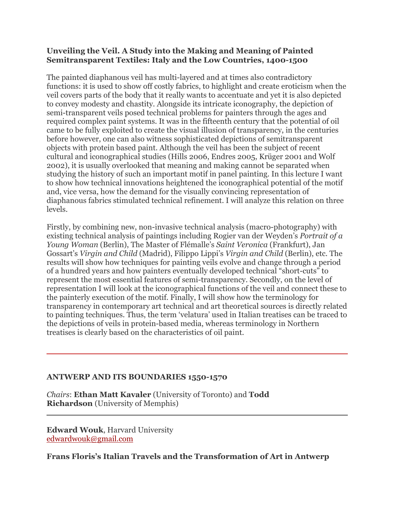# **Unveiling the Veil. A Study into the Making and Meaning of Painted Semitransparent Textiles: Italy and the Low Countries, 1400-1500**

The painted diaphanous veil has multi-layered and at times also contradictory functions: it is used to show off costly fabrics, to highlight and create eroticism when the veil covers parts of the body that it really wants to accentuate and yet it is also depicted to convey modesty and chastity. Alongside its intricate iconography, the depiction of semi-transparent veils posed technical problems for painters through the ages and required complex paint systems. It was in the fifteenth century that the potential of oil came to be fully exploited to create the visual illusion of transparency, in the centuries before however, one can also witness sophisticated depictions of semitransparent objects with protein based paint. Although the veil has been the subject of recent cultural and iconographical studies (Hills 2006, Endres 2005, Krüger 2001 and Wolf 2002), it is usually overlooked that meaning and making cannot be separated when studying the history of such an important motif in panel painting. In this lecture I want to show how technical innovations heightened the iconographical potential of the motif and, vice versa, how the demand for the visually convincing representation of diaphanous fabrics stimulated technical refinement. I will analyze this relation on three levels.

Firstly, by combining new, non-invasive technical analysis (macro-photography) with existing technical analysis of paintings including Rogier van der Weyden's *Portrait of a Young Woman* (Berlin), The Master of Flémalle's *Saint Veronica* (Frankfurt), Jan Gossart's *Virgin and Child* (Madrid), Filippo Lippi's *Virgin and Child* (Berlin), etc. The results will show how techniques for painting veils evolve and change through a period of a hundred years and how painters eventually developed technical "short-cuts" to represent the most essential features of semi-transparency. Secondly, on the level of representation I will look at the iconographical functions of the veil and connect these to the painterly execution of the motif. Finally, I will show how the terminology for transparency in contemporary art technical and art theoretical sources is directly related to painting techniques. Thus, the term 'velatura' used in Italian treatises can be traced to the depictions of veils in protein-based media, whereas terminology in Northern treatises is clearly based on the characteristics of oil paint.

# **ANTWERP AND ITS BOUNDARIES 1550-1570**

*Chairs*: **Ethan Matt Kavaler** (University of Toronto) and **Todd Richardson** (University of Memphis)

**Edward Wouk**, Harvard University edwardwouk@gmail.com

**Frans Floris's Italian Travels and the Transformation of Art in Antwerp**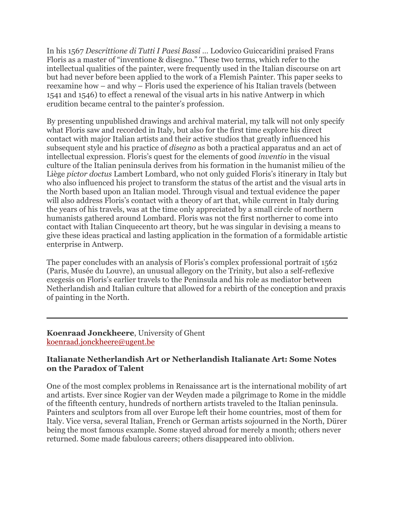In his 1567 *Descrittione di Tutti I Paesi Bassi …* Lodovico Guiccaridini praised Frans Floris as a master of "inventione & disegno." These two terms, which refer to the intellectual qualities of the painter, were frequently used in the Italian discourse on art but had never before been applied to the work of a Flemish Painter. This paper seeks to reexamine how – and why – Floris used the experience of his Italian travels (between 1541 and 1546) to effect a renewal of the visual arts in his native Antwerp in which erudition became central to the painter's profession.

By presenting unpublished drawings and archival material, my talk will not only specify what Floris saw and recorded in Italy, but also for the first time explore his direct contact with major Italian artists and their active studios that greatly influenced his subsequent style and his practice of *disegno* as both a practical apparatus and an act of intellectual expression. Floris's quest for the elements of good *inventio* in the visual culture of the Italian peninsula derives from his formation in the humanist milieu of the Liège *pictor doctus* Lambert Lombard, who not only guided Floris's itinerary in Italy but who also influenced his project to transform the status of the artist and the visual arts in the North based upon an Italian model. Through visual and textual evidence the paper will also address Floris's contact with a theory of art that, while current in Italy during the years of his travels, was at the time only appreciated by a small circle of northern humanists gathered around Lombard. Floris was not the first northerner to come into contact with Italian Cinquecento art theory, but he was singular in devising a means to give these ideas practical and lasting application in the formation of a formidable artistic enterprise in Antwerp.

The paper concludes with an analysis of Floris's complex professional portrait of 1562 (Paris, Musée du Louvre), an unusual allegory on the Trinity, but also a self-reflexive exegesis on Floris's earlier travels to the Peninsula and his role as mediator between Netherlandish and Italian culture that allowed for a rebirth of the conception and praxis of painting in the North.

**Koenraad Jonckheere**, University of Ghent koenraad.jonckheere@ugent.be

#### **Italianate Netherlandish Art or Netherlandish Italianate Art: Some Notes on the Paradox of Talent**

One of the most complex problems in Renaissance art is the international mobility of art and artists. Ever since Rogier van der Weyden made a pilgrimage to Rome in the middle of the fifteenth century, hundreds of northern artists traveled to the Italian peninsula. Painters and sculptors from all over Europe left their home countries, most of them for Italy. Vice versa, several Italian, French or German artists sojourned in the North, Dürer being the most famous example. Some stayed abroad for merely a month; others never returned. Some made fabulous careers; others disappeared into oblivion.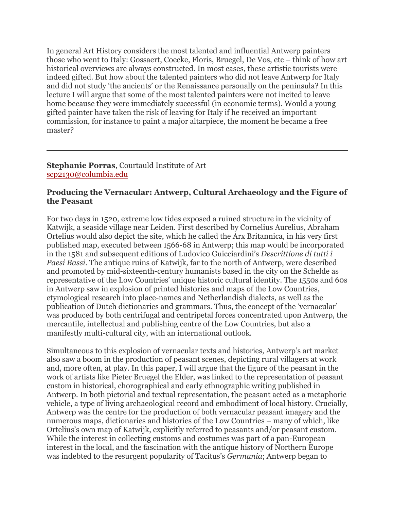In general Art History considers the most talented and influential Antwerp painters those who went to Italy: Gossaert, Coecke, Floris, Bruegel, De Vos, etc – think of how art historical overviews are always constructed. In most cases, these artistic tourists were indeed gifted. But how about the talented painters who did not leave Antwerp for Italy and did not study 'the ancients' or the Renaissance personally on the peninsula? In this lecture I will argue that some of the most talented painters were not incited to leave home because they were immediately successful (in economic terms). Would a young gifted painter have taken the risk of leaving for Italy if he received an important commission, for instance to paint a major altarpiece, the moment he became a free master?

**Stephanie Porras**, Courtauld Institute of Art scp2130@columbia.edu

### **Producing the Vernacular: Antwerp, Cultural Archaeology and the Figure of the Peasant**

For two days in 1520, extreme low tides exposed a ruined structure in the vicinity of Katwijk, a seaside village near Leiden. First described by Cornelius Aurelius, Abraham Ortelius would also depict the site, which he called the Arx Britannica, in his very first published map, executed between 1566-68 in Antwerp; this map would be incorporated in the 1581 and subsequent editions of Ludovico Guicciardini's *Descrittione di tutti i Paesi Bassi*. The antique ruins of Katwijk, far to the north of Antwerp, were described and promoted by mid-sixteenth-century humanists based in the city on the Schelde as representative of the Low Countries' unique historic cultural identity. The 1550s and 60s in Antwerp saw in explosion of printed histories and maps of the Low Countries, etymological research into place-names and Netherlandish dialects, as well as the publication of Dutch dictionaries and grammars. Thus, the concept of the 'vernacular' was produced by both centrifugal and centripetal forces concentrated upon Antwerp, the mercantile, intellectual and publishing centre of the Low Countries, but also a manifestly multi-cultural city, with an international outlook.

Simultaneous to this explosion of vernacular texts and histories, Antwerp's art market also saw a boom in the production of peasant scenes, depicting rural villagers at work and, more often, at play. In this paper, I will argue that the figure of the peasant in the work of artists like Pieter Bruegel the Elder, was linked to the representation of peasant custom in historical, chorographical and early ethnographic writing published in Antwerp. In both pictorial and textual representation, the peasant acted as a metaphoric vehicle, a type of living archaeological record and embodiment of local history. Crucially, Antwerp was the centre for the production of both vernacular peasant imagery and the numerous maps, dictionaries and histories of the Low Countries – many of which, like Ortelius's own map of Katwijk, explicitly referred to peasants and/or peasant custom. While the interest in collecting customs and costumes was part of a pan-European interest in the local, and the fascination with the antique history of Northern Europe was indebted to the resurgent popularity of Tacitus's *Germania*; Antwerp began to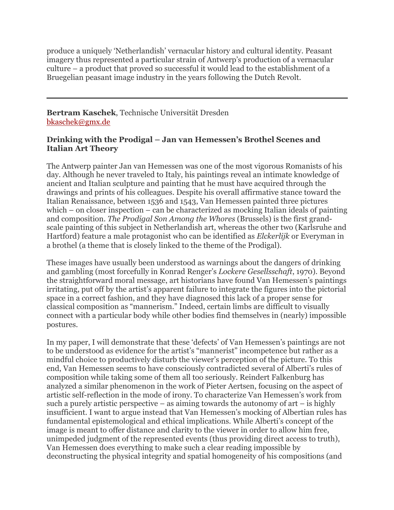produce a uniquely 'Netherlandish' vernacular history and cultural identity. Peasant imagery thus represented a particular strain of Antwerp's production of a vernacular culture – a product that proved so successful it would lead to the establishment of a Bruegelian peasant image industry in the years following the Dutch Revolt.

# **Bertram Kaschek**, Technische Universität Dresden bkaschek@gmx.de

## **Drinking with the Prodigal – Jan van Hemessen's Brothel Scenes and Italian Art Theory**

The Antwerp painter Jan van Hemessen was one of the most vigorous Romanists of his day. Although he never traveled to Italy, his paintings reveal an intimate knowledge of ancient and Italian sculpture and painting that he must have acquired through the drawings and prints of his colleagues. Despite his overall affirmative stance toward the Italian Renaissance, between 1536 and 1543, Van Hemessen painted three pictures which – on closer inspection – can be characterized as mocking Italian ideals of painting and composition. *The Prodigal Son Among the Whores* (Brussels) is the first grandscale painting of this subject in Netherlandish art, whereas the other two (Karlsruhe and Hartford) feature a male protagonist who can be identified as *Elckerlijk* or Everyman in a brothel (a theme that is closely linked to the theme of the Prodigal).

These images have usually been understood as warnings about the dangers of drinking and gambling (most forcefully in Konrad Renger's *Lockere Gesellsschaft*, 1970). Beyond the straightforward moral message, art historians have found Van Hemessen's paintings irritating, put off by the artist's apparent failure to integrate the figures into the pictorial space in a correct fashion, and they have diagnosed this lack of a proper sense for classical composition as "mannerism." Indeed, certain limbs are difficult to visually connect with a particular body while other bodies find themselves in (nearly) impossible postures.

In my paper, I will demonstrate that these 'defects' of Van Hemessen's paintings are not to be understood as evidence for the artist's "mannerist" incompetence but rather as a mindful choice to productively disturb the viewer's perception of the picture. To this end, Van Hemessen seems to have consciously contradicted several of Alberti's rules of composition while taking some of them all too seriously. Reindert Falkenburg has analyzed a similar phenomenon in the work of Pieter Aertsen, focusing on the aspect of artistic self-reflection in the mode of irony. To characterize Van Hemessen's work from such a purely artistic perspective  $-$  as aiming towards the autonomy of art  $-$  is highly insufficient. I want to argue instead that Van Hemessen's mocking of Albertian rules has fundamental epistemological and ethical implications. While Alberti's concept of the image is meant to offer distance and clarity to the viewer in order to allow him free, unimpeded judgment of the represented events (thus providing direct access to truth), Van Hemessen does everything to make such a clear reading impossible by deconstructing the physical integrity and spatial homogeneity of his compositions (and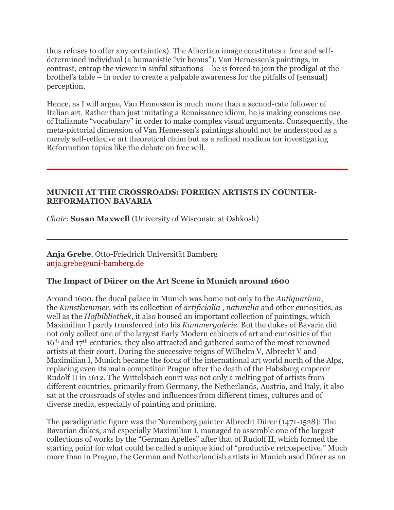thus refuses to offer any certainties). The Albertian image constitutes a free and selfdetermined individual (a humanistic "vir bonus"). Van Hemessen's paintings, in contrast, entrap the viewer in sinful situations – he is forced to join the prodigal at the brothel's table – in order to create a palpable awareness for the pitfalls of (sensual) perception.

Hence, as I will argue, Van Hemessen is much more than a second-rate follower of Italian art. Rather than just imitating a Renaissance idiom, he is making conscious use of Italianate "vocabulary" in order to make complex visual arguments. Consequently, the meta-pictorial dimension of Van Hemessen's paintings should not be understood as a merely self-reflexive art theoretical claim but as a refined medium for investigating Reformation topics like the debate on free will.

### **MUNICH AT THE CROSSROADS: FOREIGN ARTISTS IN COUNTER-REFORMATION BAVARIA**

*Chair*: **Susan Maxwell** (University of Wisconsin at Oshkosh)

**Anja Grebe**, Otto-Friedrich Universität Bamberg anja.grebe@uni-bamberg.de

# **The Impact of Dürer on the Art Scene in Munich around 1600**

Around 1600, the ducal palace in Munich was home not only to the *Antiquarium*, the *Kunstkammer,* with its collection of *artificialia* , *naturalia* and other curiosities, as well as the *Hofbibliothek*, it also housed an important collection of paintings, which Maximilian I partly transferred into his *Kammergalerie*. But the dukes of Bavaria did not only collect one of the largest Early Modern cabinets of art and curiosities of the 16th and 17th centuries, they also attracted and gathered some of the most renowned artists at their court. During the successive reigns of Wilhelm V, Albrecht V and Maximilian I, Munich became the focus of the international art world north of the Alps, replacing even its main competitor Prague after the death of the Habsburg emperor Rudolf II in 1612. The Wittelsbach court was not only a melting pot of artists from different countries, primarily from Germany, the Netherlands, Austria, and Italy, it also sat at the crossroads of styles and influences from different times, cultures and of diverse media, especially of painting and printing.

The paradigmatic figure was the Nuremberg painter Albrecht Dürer (1471-1528): The Bavarian dukes, and especially Maximilian I, managed to assemble one of the largest collections of works by the "German Apelles" after that of Rudolf II, which formed the starting point for what could be called a unique kind of "productive retrospective." Much more than in Prague, the German and Netherlandish artists in Munich used Dürer as an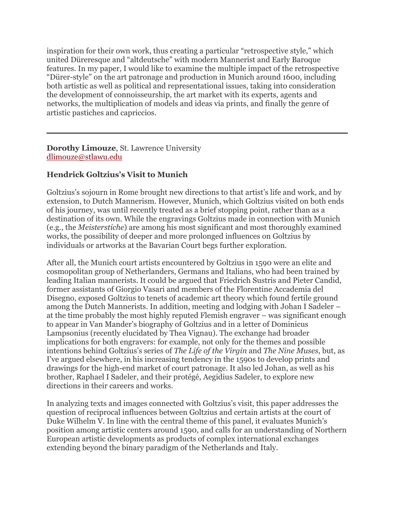inspiration for their own work, thus creating a particular "retrospective style," which united Düreresque and "altdeutsche" with modern Mannerist and Early Baroque features. In my paper, I would like to examine the multiple impact of the retrospective "Dürer-style" on the art patronage and production in Munich around 1600, including both artistic as well as political and representational issues, taking into consideration the development of connoisseurship, the art market with its experts, agents and networks, the multiplication of models and ideas via prints, and finally the genre of artistic pastiches and capriccios.

**Dorothy Limouze**, St. Lawrence University dlimouze@stlawu.edu

# **Hendrick Goltzius's Visit to Munich**

Goltzius's sojourn in Rome brought new directions to that artist's life and work, and by extension, to Dutch Mannerism. However, Munich, which Goltzius visited on both ends of his journey, was until recently treated as a brief stopping point, rather than as a destination of its own. While the engravings Goltzius made in connection with Munich (e.g., the *Meisterstiche*) are among his most significant and most thoroughly examined works, the possibility of deeper and more prolonged influences on Goltzius by individuals or artworks at the Bavarian Court begs further exploration.

After all, the Munich court artists encountered by Goltzius in 1590 were an elite and cosmopolitan group of Netherlanders, Germans and Italians, who had been trained by leading Italian mannerists. It could be argued that Friedrich Sustris and Pieter Candid, former assistants of Giorgio Vasari and members of the Florentine Accademia del Disegno, exposed Goltzius to tenets of academic art theory which found fertile ground among the Dutch Mannerists. In addition, meeting and lodging with Johan I Sadeler – at the time probably the most highly reputed Flemish engraver – was significant enough to appear in Van Mander's biography of Goltzius and in a letter of Dominicus Lampsonius (recently elucidated by Thea Vignau). The exchange had broader implications for both engravers: for example, not only for the themes and possible intentions behind Goltzius's series of *The Life of the Virgin* and *The Nine Muses*, but, as I've argued elsewhere, in his increasing tendency in the 1590s to develop prints and drawings for the high-end market of court patronage. It also led Johan, as well as his brother, Raphael I Sadeler, and their protégé, Aegidius Sadeler, to explore new directions in their careers and works.

In analyzing texts and images connected with Goltzius's visit, this paper addresses the question of reciprocal influences between Goltzius and certain artists at the court of Duke Wilhelm V. In line with the central theme of this panel, it evaluates Munich's position among artistic centers around 1590, and calls for an understanding of Northern European artistic developments as products of complex international exchanges extending beyond the binary paradigm of the Netherlands and Italy.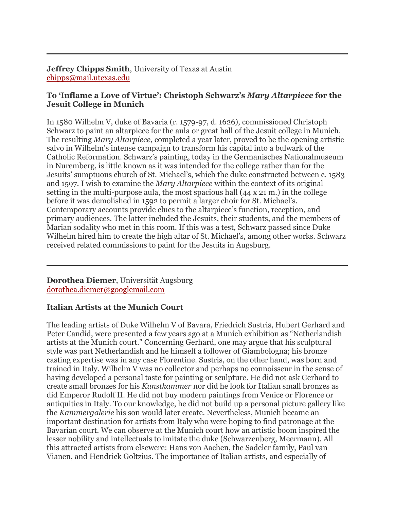**Jeffrey Chipps Smith**, University of Texas at Austin chipps@mail.utexas.edu

# **To 'Inflame a Love of Virtue': Christoph Schwarz's** *Mary Altarpiece* **for the Jesuit College in Munich**

In 1580 Wilhelm V, duke of Bavaria (r. 1579-97, d. 1626), commissioned Christoph Schwarz to paint an altarpiece for the aula or great hall of the Jesuit college in Munich. The resulting *Mary Altarpiece*, completed a year later, proved to be the opening artistic salvo in Wilhelm's intense campaign to transform his capital into a bulwark of the Catholic Reformation. Schwarz's painting, today in the Germanisches Nationalmuseum in Nuremberg, is little known as it was intended for the college rather than for the Jesuits' sumptuous church of St. Michael's, which the duke constructed between c. 1583 and 1597. I wish to examine the *Mary Altarpiece* within the context of its original setting in the multi-purpose aula, the most spacious hall (44 x 21 m.) in the college before it was demolished in 1592 to permit a larger choir for St. Michael's. Contemporary accounts provide clues to the altarpiece's function, reception, and primary audiences. The latter included the Jesuits, their students, and the members of Marian sodality who met in this room. If this was a test, Schwarz passed since Duke Wilhelm hired him to create the high altar of St. Michael's, among other works. Schwarz received related commissions to paint for the Jesuits in Augsburg.

**Dorothea Diemer**, Universität Augsburg dorothea.diemer@googlemail.com

# **Italian Artists at the Munich Court**

The leading artists of Duke Wilhelm V of Bavara, Friedrich Sustris, Hubert Gerhard and Peter Candid, were presented a few years ago at a Munich exhibition as "Netherlandish artists at the Munich court." Concerning Gerhard, one may argue that his sculptural style was part Netherlandish and he himself a follower of Giambologna; his bronze casting expertise was in any case Florentine. Sustris, on the other hand, was born and trained in Italy. Wilhelm V was no collector and perhaps no connoisseur in the sense of having developed a personal taste for painting or sculpture. He did not ask Gerhard to create small bronzes for his *Kunstkammer* nor did he look for Italian small bronzes as did Emperor Rudolf II. He did not buy modern paintings from Venice or Florence or antiquities in Italy. To our knowledge, he did not build up a personal picture gallery like the *Kammergalerie* his son would later create. Nevertheless, Munich became an important destination for artists from Italy who were hoping to find patronage at the Bavarian court. We can observe at the Munich court how an artistic boom inspired the lesser nobility and intellectuals to imitate the duke (Schwarzenberg, Meermann). All this attracted artists from elsewere: Hans von Aachen, the Sadeler family, Paul van Vianen, and Hendrick Goltzius. The importance of Italian artists, and especially of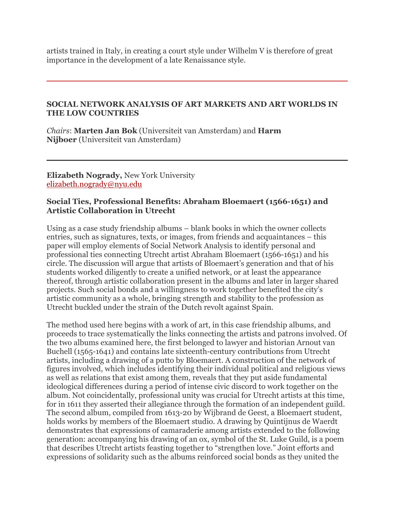artists trained in Italy, in creating a court style under Wilhelm V is therefore of great importance in the development of a late Renaissance style.

#### **SOCIAL NETWORK ANALYSIS OF ART MARKETS AND ART WORLDS IN THE LOW COUNTRIES**

*Chairs*: **Marten Jan Bok** (Universiteit van Amsterdam) and **Harm Nijboer** (Universiteit van Amsterdam)

**Elizabeth Nogrady,** New York University elizabeth.nogrady@nyu.edu

### **Social Ties, Professional Benefits: Abraham Bloemaert (1566-1651) and Artistic Collaboration in Utrecht**

Using as a case study friendship albums – blank books in which the owner collects entries, such as signatures, texts, or images, from friends and acquaintances – this paper will employ elements of Social Network Analysis to identify personal and professional ties connecting Utrecht artist Abraham Bloemaert (1566-1651) and his circle. The discussion will argue that artists of Bloemaert's generation and that of his students worked diligently to create a unified network, or at least the appearance thereof, through artistic collaboration present in the albums and later in larger shared projects. Such social bonds and a willingness to work together benefited the city's artistic community as a whole, bringing strength and stability to the profession as Utrecht buckled under the strain of the Dutch revolt against Spain.

The method used here begins with a work of art, in this case friendship albums, and proceeds to trace systematically the links connecting the artists and patrons involved. Of the two albums examined here, the first belonged to lawyer and historian Arnout van Buchell (1565-1641) and contains late sixteenth-century contributions from Utrecht artists, including a drawing of a putto by Bloemaert. A construction of the network of figures involved, which includes identifying their individual political and religious views as well as relations that exist among them, reveals that they put aside fundamental ideological differences during a period of intense civic discord to work together on the album. Not coincidentally, professional unity was crucial for Utrecht artists at this time, for in 1611 they asserted their allegiance through the formation of an independent guild. The second album, compiled from 1613-20 by Wijbrand de Geest, a Bloemaert student, holds works by members of the Bloemaert studio. A drawing by Quintijnus de Waerdt demonstrates that expressions of camaraderie among artists extended to the following generation: accompanying his drawing of an ox, symbol of the St. Luke Guild, is a poem that describes Utrecht artists feasting together to "strengthen love." Joint efforts and expressions of solidarity such as the albums reinforced social bonds as they united the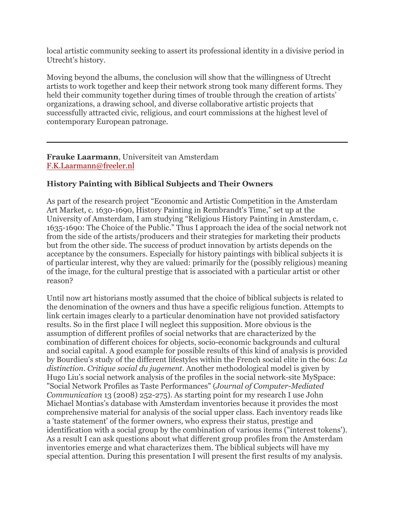local artistic community seeking to assert its professional identity in a divisive period in Utrecht's history.

Moving beyond the albums, the conclusion will show that the willingness of Utrecht artists to work together and keep their network strong took many different forms. They held their community together during times of trouble through the creation of artists' organizations, a drawing school, and diverse collaborative artistic projects that successfully attracted civic, religious, and court commissions at the highest level of contemporary European patronage.

**Frauke Laarmann**, Universiteit van Amsterdam F.K.Laarmann@freeler.nl

# **History Painting with Biblical Subjects and Their Owners**

As part of the research project "Economic and Artistic Competition in the Amsterdam Art Market, c. 1630-1690, History Painting in Rembrandt's Time," set up at the University of Amsterdam, I am studying "Religious History Painting in Amsterdam, c. 1635-1690: The Choice of the Public." Thus I approach the idea of the social network not from the side of the artists/producers and their strategies for marketing their products but from the other side. The success of product innovation by artists depends on the acceptance by the consumers. Especially for history paintings with biblical subjects it is of particular interest, why they are valued: primarily for the (possibly religious) meaning of the image, for the cultural prestige that is associated with a particular artist or other reason?

Until now art historians mostly assumed that the choice of biblical subjects is related to the denomination of the owners and thus have a specific religious function. Attempts to link certain images clearly to a particular denomination have not provided satisfactory results. So in the first place I will neglect this supposition. More obvious is the assumption of different profiles of social networks that are characterized by the combination of different choices for objects, socio-economic backgrounds and cultural and social capital. A good example for possible results of this kind of analysis is provided by Bourdieu's study of the different lifestyles within the French social elite in the 60s: *La distinction. Critique social du jugement*. Another methodological model is given by Hugo Liu's social network analysis of the profiles in the social network-site MySpace: "Social Network Profiles as Taste Performances" (*Journal of Computer-Mediated Communication* 13 (2008) 252-275). As starting point for my research I use John Michael Montias's database with Amsterdam inventories because it provides the most comprehensive material for analysis of the social upper class. Each inventory reads like a 'taste statement' of the former owners, who express their status, prestige and identification with a social group by the combination of various items ("interest tokens'). As a result I can ask questions about what different group profiles from the Amsterdam inventories emerge and what characterizes them. The biblical subjects will have my special attention. During this presentation I will present the first results of my analysis.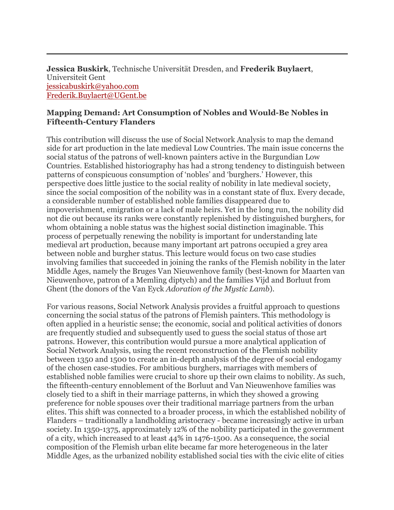**Jessica Buskirk**, Technische Universität Dresden, and **Frederik Buylaert**, Universiteit Gent jessicabuskirk@yahoo.com Frederik.Buylaert@UGent.be

### **Mapping Demand: Art Consumption of Nobles and Would-Be Nobles in Fifteenth-Century Flanders**

This contribution will discuss the use of Social Network Analysis to map the demand side for art production in the late medieval Low Countries. The main issue concerns the social status of the patrons of well-known painters active in the Burgundian Low Countries. Established historiography has had a strong tendency to distinguish between patterns of conspicuous consumption of 'nobles' and 'burghers.' However, this perspective does little justice to the social reality of nobility in late medieval society, since the social composition of the nobility was in a constant state of flux. Every decade, a considerable number of established noble families disappeared due to impoverishment, emigration or a lack of male heirs. Yet in the long run, the nobility did not die out because its ranks were constantly replenished by distinguished burghers, for whom obtaining a noble status was the highest social distinction imaginable. This process of perpetually renewing the nobility is important for understanding late medieval art production, because many important art patrons occupied a grey area between noble and burgher status. This lecture would focus on two case studies involving families that succeeded in joining the ranks of the Flemish nobility in the later Middle Ages, namely the Bruges Van Nieuwenhove family (best-known for Maarten van Nieuwenhove, patron of a Memling diptych) and the families Vijd and Borluut from Ghent (the donors of the Van Eyck *Adoration of the Mystic Lamb*).

For various reasons, Social Network Analysis provides a fruitful approach to questions concerning the social status of the patrons of Flemish painters. This methodology is often applied in a heuristic sense; the economic, social and political activities of donors are frequently studied and subsequently used to guess the social status of those art patrons. However, this contribution would pursue a more analytical application of Social Network Analysis, using the recent reconstruction of the Flemish nobility between 1350 and 1500 to create an in-depth analysis of the degree of social endogamy of the chosen case-studies. For ambitious burghers, marriages with members of established noble families were crucial to shore up their own claims to nobility. As such, the fifteenth-century ennoblement of the Borluut and Van Nieuwenhove families was closely tied to a shift in their marriage patterns, in which they showed a growing preference for noble spouses over their traditional marriage partners from the urban elites. This shift was connected to a broader process, in which the established nobility of Flanders – traditionally a landholding aristocracy - became increasingly active in urban society. In 1350-1375, approximately 12% of the nobility participated in the government of a city, which increased to at least 44% in 1476-1500. As a consequence, the social composition of the Flemish urban elite became far more heterogeneous in the later Middle Ages, as the urbanized nobility established social ties with the civic elite of cities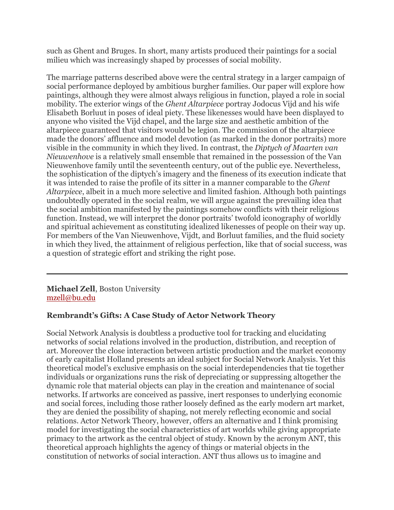such as Ghent and Bruges. In short, many artists produced their paintings for a social milieu which was increasingly shaped by processes of social mobility.

The marriage patterns described above were the central strategy in a larger campaign of social performance deployed by ambitious burgher families. Our paper will explore how paintings, although they were almost always religious in function, played a role in social mobility. The exterior wings of the *Ghent Altarpiece* portray Jodocus Vijd and his wife Elisabeth Borluut in poses of ideal piety. These likenesses would have been displayed to anyone who visited the Vijd chapel, and the large size and aesthetic ambition of the altarpiece guaranteed that visitors would be legion. The commission of the altarpiece made the donors' affluence and model devotion (as marked in the donor portraits) more visible in the community in which they lived. In contrast, the *Diptych of Maarten van Nieuwenhove* is a relatively small ensemble that remained in the possession of the Van Nieuwenhove family until the seventeenth century, out of the public eye. Nevertheless, the sophistication of the diptych's imagery and the fineness of its execution indicate that it was intended to raise the profile of its sitter in a manner comparable to the *Ghent Altarpiece*, albeit in a much more selective and limited fashion. Although both paintings undoubtedly operated in the social realm, we will argue against the prevailing idea that the social ambition manifested by the paintings somehow conflicts with their religious function. Instead, we will interpret the donor portraits' twofold iconography of worldly and spiritual achievement as constituting idealized likenesses of people on their way up. For members of the Van Nieuwenhove, Vijdt, and Borluut families, and the fluid society in which they lived, the attainment of religious perfection, like that of social success, was a question of strategic effort and striking the right pose.

**Michael Zell**, Boston University mzell@bu.edu

# **Rembrandt's Gifts: A Case Study of Actor Network Theory**

Social Network Analysis is doubtless a productive tool for tracking and elucidating networks of social relations involved in the production, distribution, and reception of art. Moreover the close interaction between artistic production and the market economy of early capitalist Holland presents an ideal subject for Social Network Analysis. Yet this theoretical model's exclusive emphasis on the social interdependencies that tie together individuals or organizations runs the risk of depreciating or suppressing altogether the dynamic role that material objects can play in the creation and maintenance of social networks. If artworks are conceived as passive, inert responses to underlying economic and social forces, including those rather loosely defined as the early modern art market, they are denied the possibility of shaping, not merely reflecting economic and social relations. Actor Network Theory, however, offers an alternative and I think promising model for investigating the social characteristics of art worlds while giving appropriate primacy to the artwork as the central object of study. Known by the acronym ANT, this theoretical approach highlights the agency of things or material objects in the constitution of networks of social interaction. ANT thus allows us to imagine and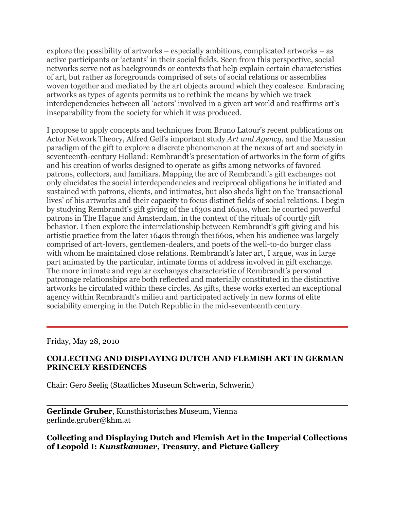explore the possibility of artworks – especially ambitious, complicated artworks – as active participants or 'actants' in their social fields. Seen from this perspective, social networks serve not as backgrounds or contexts that help explain certain characteristics of art, but rather as foregrounds comprised of sets of social relations or assemblies woven together and mediated by the art objects around which they coalesce. Embracing artworks as types of agents permits us to rethink the means by which we track interdependencies between all 'actors' involved in a given art world and reaffirms art's inseparability from the society for which it was produced.

I propose to apply concepts and techniques from Bruno Latour's recent publications on Actor Network Theory, Alfred Gell's important study *Art and Agency*, and the Maussian paradigm of the gift to explore a discrete phenomenon at the nexus of art and society in seventeenth-century Holland: Rembrandt's presentation of artworks in the form of gifts and his creation of works designed to operate as gifts among networks of favored patrons, collectors, and familiars. Mapping the arc of Rembrandt's gift exchanges not only elucidates the social interdependencies and reciprocal obligations he initiated and sustained with patrons, clients, and intimates, but also sheds light on the 'transactional lives' of his artworks and their capacity to focus distinct fields of social relations. I begin by studying Rembrandt's gift giving of the 1630s and 1640s, when he courted powerful patrons in The Hague and Amsterdam, in the context of the rituals of courtly gift behavior. I then explore the interrelationship between Rembrandt's gift giving and his artistic practice from the later 1640s through the1660s, when his audience was largely comprised of art-lovers, gentlemen-dealers, and poets of the well-to-do burger class with whom he maintained close relations. Rembrandt's later art, I argue, was in large part animated by the particular, intimate forms of address involved in gift exchange. The more intimate and regular exchanges characteristic of Rembrandt's personal patronage relationships are both reflected and materially constituted in the distinctive artworks he circulated within these circles. As gifts, these works exerted an exceptional agency within Rembrandt's milieu and participated actively in new forms of elite sociability emerging in the Dutch Republic in the mid-seventeenth century.

Friday, May 28, 2010

### **COLLECTING AND DISPLAYING DUTCH AND FLEMISH ART IN GERMAN PRINCELY RESIDENCES**

Chair: Gero Seelig (Staatliches Museum Schwerin, Schwerin)

**Gerlinde Gruber**, Kunsthistorisches Museum, Vienna gerlinde.gruber@khm.at

### **Collecting and Displaying Dutch and Flemish Art in the Imperial Collections of Leopold I:** *Kunstkammer***, Treasury, and Picture Gallery**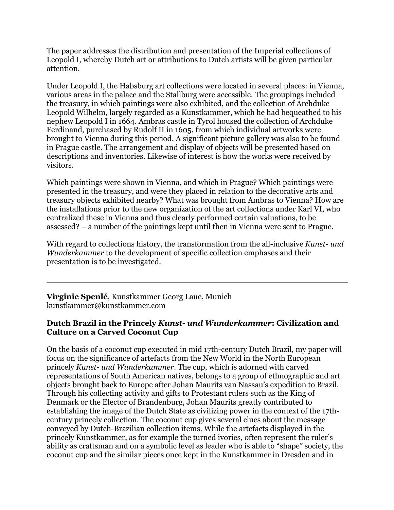The paper addresses the distribution and presentation of the Imperial collections of Leopold I, whereby Dutch art or attributions to Dutch artists will be given particular attention.

Under Leopold I, the Habsburg art collections were located in several places: in Vienna, various areas in the palace and the Stallburg were accessible. The groupings included the treasury, in which paintings were also exhibited, and the collection of Archduke Leopold Wilhelm, largely regarded as a Kunstkammer, which he had bequeathed to his nephew Leopold I in 1664. Ambras castle in Tyrol housed the collection of Archduke Ferdinand, purchased by Rudolf II in 1605, from which individual artworks were brought to Vienna during this period. A significant picture gallery was also to be found in Prague castle. The arrangement and display of objects will be presented based on descriptions and inventories. Likewise of interest is how the works were received by visitors.

Which paintings were shown in Vienna, and which in Prague? Which paintings were presented in the treasury, and were they placed in relation to the decorative arts and treasury objects exhibited nearby? What was brought from Ambras to Vienna? How are the installations prior to the new organization of the art collections under Karl VI, who centralized these in Vienna and thus clearly performed certain valuations, to be assessed? – a number of the paintings kept until then in Vienna were sent to Prague.

With regard to collections history, the transformation from the all-inclusive *Kunst- und Wunderkammer* to the development of specific collection emphases and their presentation is to be investigated.

**Virginie Spenlé**, Kunstkammer Georg Laue, Munich kunstkammer@kunstkammer.com

### **Dutch Brazil in the Princely** *Kunst- und Wunderkammer***: Civilization and Culture on a Carved Coconut Cup**

On the basis of a coconut cup executed in mid 17th-century Dutch Brazil, my paper will focus on the significance of artefacts from the New World in the North European princely *Kunst- und Wunderkammer*. The cup, which is adorned with carved representations of South American natives, belongs to a group of ethnographic and art objects brought back to Europe after Johan Maurits van Nassau's expedition to Brazil. Through his collecting activity and gifts to Protestant rulers such as the King of Denmark or the Elector of Brandenburg, Johan Maurits greatly contributed to establishing the image of the Dutch State as civilizing power in the context of the 17thcentury princely collection. The coconut cup gives several clues about the message conveyed by Dutch-Brazilian collection items. While the artefacts displayed in the princely Kunstkammer, as for example the turned ivories, often represent the ruler's ability as craftsman and on a symbolic level as leader who is able to "shape" society, the coconut cup and the similar pieces once kept in the Kunstkammer in Dresden and in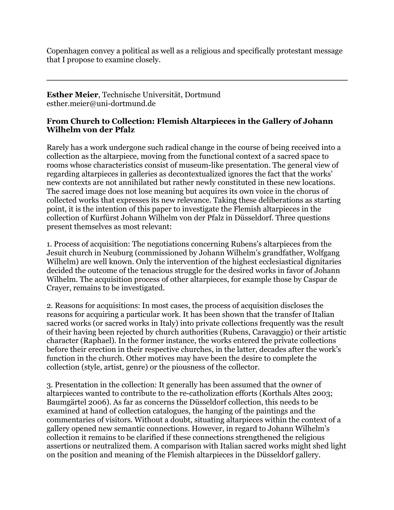Copenhagen convey a political as well as a religious and specifically protestant message that I propose to examine closely.

**Esther Meier**, Technische Universität, Dortmund esther.meier@uni-dortmund.de

# **From Church to Collection: Flemish Altarpieces in the Gallery of Johann Wilhelm von der Pfalz**

Rarely has a work undergone such radical change in the course of being received into a collection as the altarpiece, moving from the functional context of a sacred space to rooms whose characteristics consist of museum-like presentation. The general view of regarding altarpieces in galleries as decontextualized ignores the fact that the works' new contexts are not annihilated but rather newly constituted in these new locations. The sacred image does not lose meaning but acquires its own voice in the chorus of collected works that expresses its new relevance. Taking these deliberations as starting point, it is the intention of this paper to investigate the Flemish altarpieces in the collection of Kurfürst Johann Wilhelm von der Pfalz in Düsseldorf. Three questions present themselves as most relevant:

1. Process of acquisition: The negotiations concerning Rubens's altarpieces from the Jesuit church in Neuburg (commissioned by Johann Wilhelm's grandfather, Wolfgang Wilhelm) are well known. Only the intervention of the highest ecclesiastical dignitaries decided the outcome of the tenacious struggle for the desired works in favor of Johann Wilhelm. The acquisition process of other altarpieces, for example those by Caspar de Crayer, remains to be investigated.

2. Reasons for acquisitions: In most cases, the process of acquisition discloses the reasons for acquiring a particular work. It has been shown that the transfer of Italian sacred works (or sacred works in Italy) into private collections frequently was the result of their having been rejected by church authorities (Rubens, Caravaggio) or their artistic character (Raphael). In the former instance, the works entered the private collections before their erection in their respective churches, in the latter, decades after the work's function in the church. Other motives may have been the desire to complete the collection (style, artist, genre) or the piousness of the collector.

3. Presentation in the collection: It generally has been assumed that the owner of altarpieces wanted to contribute to the re-catholization efforts (Korthals Altes 2003; Baumgärtel 2006). As far as concerns the Düsseldorf collection, this needs to be examined at hand of collection catalogues, the hanging of the paintings and the commentaries of visitors. Without a doubt, situating altarpieces within the context of a gallery opened new semantic connections. However, in regard to Johann Wilhelm's collection it remains to be clarified if these connections strengthened the religious assertions or neutralized them. A comparison with Italian sacred works might shed light on the position and meaning of the Flemish altarpieces in the Düsseldorf gallery.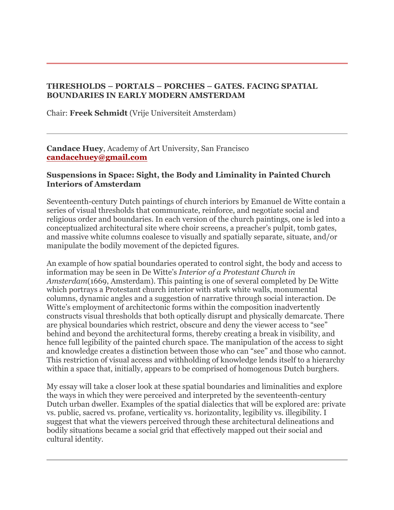# **THRESHOLDS – PORTALS – PORCHES – GATES. FACING SPATIAL BOUNDARIES IN EARLY MODERN AMSTERDAM**

Chair: **Freek Schmidt** (Vrije Universiteit Amsterdam)

**Candace Huey**, Academy of Art University, San Francisco **candacehuey@gmail.com**

## **Suspensions in Space: Sight, the Body and Liminality in Painted Church Interiors of Amsterdam**

Seventeenth-century Dutch paintings of church interiors by Emanuel de Witte contain a series of visual thresholds that communicate, reinforce, and negotiate social and religious order and boundaries. In each version of the church paintings, one is led into a conceptualized architectural site where choir screens, a preacher's pulpit, tomb gates, and massive white columns coalesce to visually and spatially separate, situate, and/or manipulate the bodily movement of the depicted figures.

An example of how spatial boundaries operated to control sight, the body and access to information may be seen in De Witte's *Interior of a Protestant Church in Amsterdam*(1669, Amsterdam). This painting is one of several completed by De Witte which portrays a Protestant church interior with stark white walls, monumental columns, dynamic angles and a suggestion of narrative through social interaction. De Witte's employment of architectonic forms within the composition inadvertently constructs visual thresholds that both optically disrupt and physically demarcate. There are physical boundaries which restrict, obscure and deny the viewer access to "see" behind and beyond the architectural forms, thereby creating a break in visibility, and hence full legibility of the painted church space. The manipulation of the access to sight and knowledge creates a distinction between those who can "see" and those who cannot. This restriction of visual access and withholding of knowledge lends itself to a hierarchy within a space that, initially, appears to be comprised of homogenous Dutch burghers.

My essay will take a closer look at these spatial boundaries and liminalities and explore the ways in which they were perceived and interpreted by the seventeenth-century Dutch urban dweller. Examples of the spatial dialectics that will be explored are: private vs. public, sacred vs. profane, verticality vs. horizontality, legibility vs. illegibility. I suggest that what the viewers perceived through these architectural delineations and bodily situations became a social grid that effectively mapped out their social and cultural identity.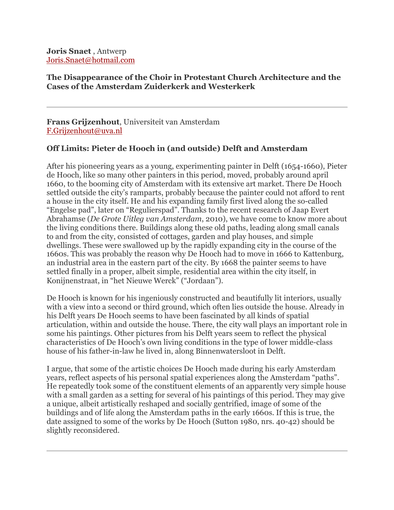**Joris Snaet** , Antwerp Joris.Snaet@hotmail.com

## **The Disappearance of the Choir in Protestant Church Architecture and the Cases of the Amsterdam Zuiderkerk and Westerkerk**

**Frans Grijzenhout**, Universiteit van Amsterdam F.Grijzenhout@uva.nl

# **Off Limits: Pieter de Hooch in (and outside) Delft and Amsterdam**

After his pioneering years as a young, experimenting painter in Delft (1654-1660), Pieter de Hooch, like so many other painters in this period, moved, probably around april 1660, to the booming city of Amsterdam with its extensive art market. There De Hooch settled outside the city's ramparts, probably because the painter could not afford to rent a house in the city itself. He and his expanding family first lived along the so-called "Engelse pad", later on "Regulierspad". Thanks to the recent research of Jaap Evert Abrahamse (*De Grote Uitleg van Amsterdam*, 2010), we have come to know more about the living conditions there. Buildings along these old paths, leading along small canals to and from the city, consisted of cottages, garden and play houses, and simple dwellings. These were swallowed up by the rapidly expanding city in the course of the 1660s. This was probably the reason why De Hooch had to move in 1666 to Kattenburg, an industrial area in the eastern part of the city. By 1668 the painter seems to have settled finally in a proper, albeit simple, residential area within the city itself, in Konijnenstraat, in "het Nieuwe Werck" ("Jordaan").

De Hooch is known for his ingeniously constructed and beautifully lit interiors, usually with a view into a second or third ground, which often lies outside the house. Already in his Delft years De Hooch seems to have been fascinated by all kinds of spatial articulation, within and outside the house. There, the city wall plays an important role in some his paintings. Other pictures from his Delft years seem to reflect the physical characteristics of De Hooch's own living conditions in the type of lower middle-class house of his father-in-law he lived in, along Binnenwatersloot in Delft.

I argue, that some of the artistic choices De Hooch made during his early Amsterdam years, reflect aspects of his personal spatial experiences along the Amsterdam "paths". He repeatedly took some of the constituent elements of an apparently very simple house with a small garden as a setting for several of his paintings of this period. They may give a unique, albeit artistically reshaped and socially gentrified, image of some of the buildings and of life along the Amsterdam paths in the early 1660s. If this is true, the date assigned to some of the works by De Hooch (Sutton 1980, nrs. 40-42) should be slightly reconsidered.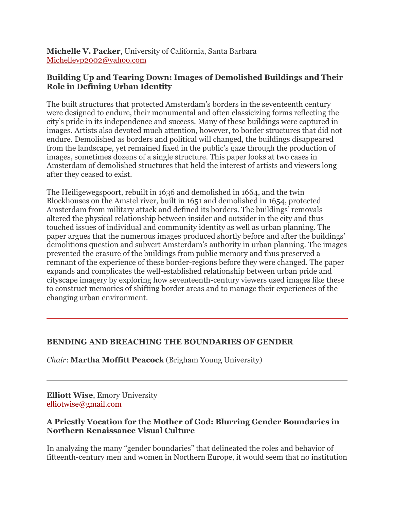**Michelle V. Packer**, University of California, Santa Barbara Michellevp2002@yahoo.com

# **Building Up and Tearing Down: Images of Demolished Buildings and Their Role in Defining Urban Identity**

The built structures that protected Amsterdam's borders in the seventeenth century were designed to endure, their monumental and often classicizing forms reflecting the city's pride in its independence and success. Many of these buildings were captured in images. Artists also devoted much attention, however, to border structures that did not endure. Demolished as borders and political will changed, the buildings disappeared from the landscape, yet remained fixed in the public's gaze through the production of images, sometimes dozens of a single structure. This paper looks at two cases in Amsterdam of demolished structures that held the interest of artists and viewers long after they ceased to exist.

The Heiligewegspoort, rebuilt in 1636 and demolished in 1664, and the twin Blockhouses on the Amstel river, built in 1651 and demolished in 1654, protected Amsterdam from military attack and defined its borders. The buildings' removals altered the physical relationship between insider and outsider in the city and thus touched issues of individual and community identity as well as urban planning. The paper argues that the numerous images produced shortly before and after the buildings' demolitions question and subvert Amsterdam's authority in urban planning. The images prevented the erasure of the buildings from public memory and thus preserved a remnant of the experience of these border-regions before they were changed. The paper expands and complicates the well-established relationship between urban pride and cityscape imagery by exploring how seventeenth-century viewers used images like these to construct memories of shifting border areas and to manage their experiences of the changing urban environment.

# **BENDING AND BREACHING THE BOUNDARIES OF GENDER**

*Chair*: **Martha Moffitt Peacock** (Brigham Young University)

**Elliott Wise**, Emory University elliotwise@gmail.com

# **A Priestly Vocation for the Mother of God: Blurring Gender Boundaries in Northern Renaissance Visual Culture**

In analyzing the many "gender boundaries" that delineated the roles and behavior of fifteenth-century men and women in Northern Europe, it would seem that no institution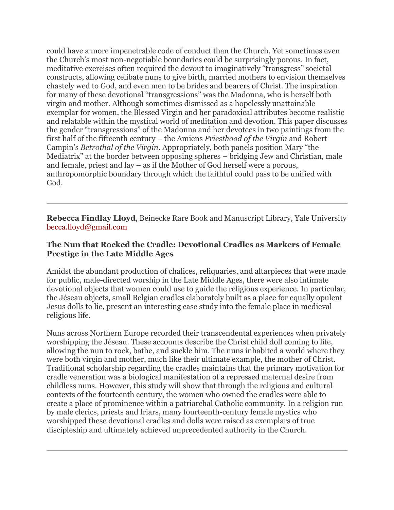could have a more impenetrable code of conduct than the Church. Yet sometimes even the Church's most non-negotiable boundaries could be surprisingly porous. In fact, meditative exercises often required the devout to imaginatively "transgress" societal constructs, allowing celibate nuns to give birth, married mothers to envision themselves chastely wed to God, and even men to be brides and bearers of Christ. The inspiration for many of these devotional "transgressions" was the Madonna, who is herself both virgin and mother. Although sometimes dismissed as a hopelessly unattainable exemplar for women, the Blessed Virgin and her paradoxical attributes become realistic and relatable within the mystical world of meditation and devotion. This paper discusses the gender "transgressions" of the Madonna and her devotees in two paintings from the first half of the fifteenth century – the Amiens *Priesthood of the Virgin* and Robert Campin's *Betrothal of the Virgin*. Appropriately, both panels position Mary "the Mediatrix" at the border between opposing spheres – bridging Jew and Christian, male and female, priest and lay – as if the Mother of God herself were a porous, anthropomorphic boundary through which the faithful could pass to be unified with God.

**Rebecca Findlay Lloyd**, Beinecke Rare Book and Manuscript Library, Yale University becca.lloyd@gmail.com

# **The Nun that Rocked the Cradle: Devotional Cradles as Markers of Female Prestige in the Late Middle Ages**

Amidst the abundant production of chalices, reliquaries, and altarpieces that were made for public, male-directed worship in the Late Middle Ages, there were also intimate devotional objects that women could use to guide the religious experience. In particular, the Jéseau objects, small Belgian cradles elaborately built as a place for equally opulent Jesus dolls to lie, present an interesting case study into the female place in medieval religious life.

Nuns across Northern Europe recorded their transcendental experiences when privately worshipping the Jéseau. These accounts describe the Christ child doll coming to life, allowing the nun to rock, bathe, and suckle him. The nuns inhabited a world where they were both virgin and mother, much like their ultimate example, the mother of Christ. Traditional scholarship regarding the cradles maintains that the primary motivation for cradle veneration was a biological manifestation of a repressed maternal desire from childless nuns. However, this study will show that through the religious and cultural contexts of the fourteenth century, the women who owned the cradles were able to create a place of prominence within a patriarchal Catholic community. In a religion run by male clerics, priests and friars, many fourteenth-century female mystics who worshipped these devotional cradles and dolls were raised as exemplars of true discipleship and ultimately achieved unprecedented authority in the Church.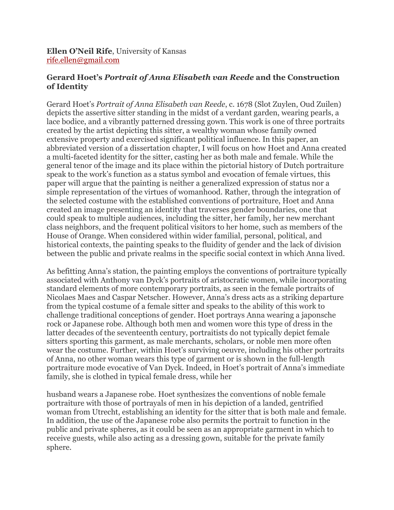**Ellen O'Neil Rife**, University of Kansas rife.ellen@gmail.com

# **Gerard Hoet's** *Portrait of Anna Elisabeth van Reede* **and the Construction of Identity**

Gerard Hoet's *Portrait of Anna Elisabeth van Reede*, c. 1678 (Slot Zuylen, Oud Zuilen) depicts the assertive sitter standing in the midst of a verdant garden, wearing pearls, a lace bodice, and a vibrantly patterned dressing gown. This work is one of three portraits created by the artist depicting this sitter, a wealthy woman whose family owned extensive property and exercised significant political influence. In this paper, an abbreviated version of a dissertation chapter, I will focus on how Hoet and Anna created a multi-faceted identity for the sitter, casting her as both male and female. While the general tenor of the image and its place within the pictorial history of Dutch portraiture speak to the work's function as a status symbol and evocation of female virtues, this paper will argue that the painting is neither a generalized expression of status nor a simple representation of the virtues of womanhood. Rather, through the integration of the selected costume with the established conventions of portraiture, Hoet and Anna created an image presenting an identity that traverses gender boundaries, one that could speak to multiple audiences, including the sitter, her family, her new merchant class neighbors, and the frequent political visitors to her home, such as members of the House of Orange. When considered within wider familial, personal, political, and historical contexts, the painting speaks to the fluidity of gender and the lack of division between the public and private realms in the specific social context in which Anna lived.

As befitting Anna's station, the painting employs the conventions of portraiture typically associated with Anthony van Dyck's portraits of aristocratic women, while incorporating standard elements of more contemporary portraits, as seen in the female portraits of Nicolaes Maes and Caspar Netscher. However, Anna's dress acts as a striking departure from the typical costume of a female sitter and speaks to the ability of this work to challenge traditional conceptions of gender. Hoet portrays Anna wearing a japonsche rock or Japanese robe. Although both men and women wore this type of dress in the latter decades of the seventeenth century, portraitists do not typically depict female sitters sporting this garment, as male merchants, scholars, or noble men more often wear the costume. Further, within Hoet's surviving oeuvre, including his other portraits of Anna, no other woman wears this type of garment or is shown in the full-length portraiture mode evocative of Van Dyck. Indeed, in Hoet's portrait of Anna's immediate family, she is clothed in typical female dress, while her

husband wears a Japanese robe. Hoet synthesizes the conventions of noble female portraiture with those of portrayals of men in his depiction of a landed, gentrified woman from Utrecht, establishing an identity for the sitter that is both male and female. In addition, the use of the Japanese robe also permits the portrait to function in the public and private spheres, as it could be seen as an appropriate garment in which to receive guests, while also acting as a dressing gown, suitable for the private family sphere.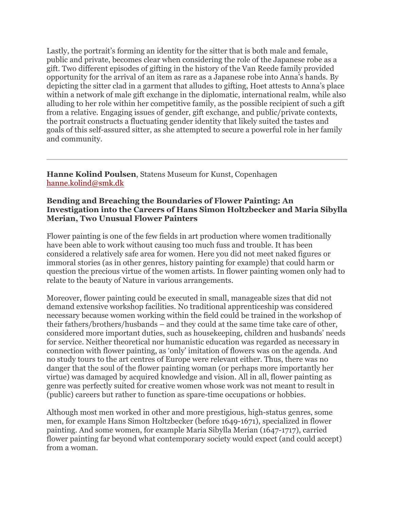Lastly, the portrait's forming an identity for the sitter that is both male and female, public and private, becomes clear when considering the role of the Japanese robe as a gift. Two different episodes of gifting in the history of the Van Reede family provided opportunity for the arrival of an item as rare as a Japanese robe into Anna's hands. By depicting the sitter clad in a garment that alludes to gifting, Hoet attests to Anna's place within a network of male gift exchange in the diplomatic, international realm, while also alluding to her role within her competitive family, as the possible recipient of such a gift from a relative. Engaging issues of gender, gift exchange, and public/private contexts, the portrait constructs a fluctuating gender identity that likely suited the tastes and goals of this self-assured sitter, as she attempted to secure a powerful role in her family and community.

**Hanne Kolind Poulsen**, Statens Museum for Kunst, Copenhagen hanne.kolind@smk.dk

#### **Bending and Breaching the Boundaries of Flower Painting: An Investigation into the Careers of Hans Simon Holtzbecker and Maria Sibylla Merian, Two Unusual Flower Painters**

Flower painting is one of the few fields in art production where women traditionally have been able to work without causing too much fuss and trouble. It has been considered a relatively safe area for women. Here you did not meet naked figures or immoral stories (as in other genres, history painting for example) that could harm or question the precious virtue of the women artists. In flower painting women only had to relate to the beauty of Nature in various arrangements.

Moreover, flower painting could be executed in small, manageable sizes that did not demand extensive workshop facilities. No traditional apprenticeship was considered necessary because women working within the field could be trained in the workshop of their fathers/brothers/husbands – and they could at the same time take care of other, considered more important duties, such as housekeeping, children and husbands' needs for service. Neither theoretical nor humanistic education was regarded as necessary in connection with flower painting, as 'only' imitation of flowers was on the agenda. And no study tours to the art centres of Europe were relevant either. Thus, there was no danger that the soul of the flower painting woman (or perhaps more importantly her virtue) was damaged by acquired knowledge and vision. All in all, flower painting as genre was perfectly suited for creative women whose work was not meant to result in (public) careers but rather to function as spare-time occupations or hobbies.

Although most men worked in other and more prestigious, high-status genres, some men, for example Hans Simon Holtzbecker (before 1649-1671), specialized in flower painting. And some women, for example Maria Sibylla Merian (1647-1717), carried flower painting far beyond what contemporary society would expect (and could accept) from a woman.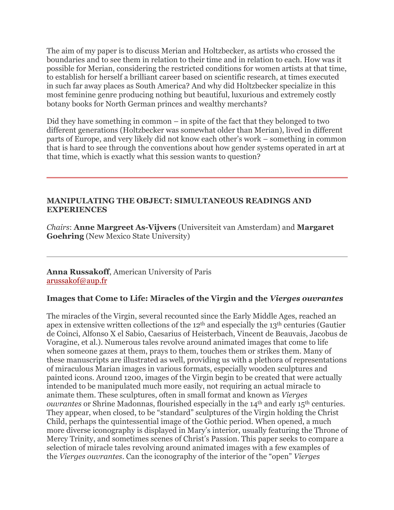The aim of my paper is to discuss Merian and Holtzbecker, as artists who crossed the boundaries and to see them in relation to their time and in relation to each. How was it possible for Merian, considering the restricted conditions for women artists at that time, to establish for herself a brilliant career based on scientific research, at times executed in such far away places as South America? And why did Holtzbecker specialize in this most feminine genre producing nothing but beautiful, luxurious and extremely costly botany books for North German princes and wealthy merchants?

Did they have something in common – in spite of the fact that they belonged to two different generations (Holtzbecker was somewhat older than Merian), lived in different parts of Europe, and very likely did not know each other's work – something in common that is hard to see through the conventions about how gender systems operated in art at that time, which is exactly what this session wants to question?

### **MANIPULATING THE OBJECT: SIMULTANEOUS READINGS AND EXPERIENCES**

*Chairs*: **Anne Margreet As-Vijvers** (Universiteit van Amsterdam) and **Margaret Goehring** (New Mexico State University)

### **Anna Russakoff**, American University of Paris arussakof@aup.fr

# **Images that Come to Life: Miracles of the Virgin and the** *Vierges ouvrantes*

The miracles of the Virgin, several recounted since the Early Middle Ages, reached an apex in extensive written collections of the 12th and especially the 13th centuries (Gautier de Coinci, Alfonso X el Sabio, Caesarius of Heisterbach, Vincent de Beauvais, Jacobus de Voragine, et al.). Numerous tales revolve around animated images that come to life when someone gazes at them, prays to them, touches them or strikes them. Many of these manuscripts are illustrated as well, providing us with a plethora of representations of miraculous Marian images in various formats, especially wooden sculptures and painted icons. Around 1200, images of the Virgin begin to be created that were actually intended to be manipulated much more easily, not requiring an actual miracle to animate them. These sculptures, often in small format and known as *Vierges ouvrantes* or Shrine Madonnas, flourished especially in the 14<sup>th</sup> and early 15<sup>th</sup> centuries. They appear, when closed, to be "standard" sculptures of the Virgin holding the Christ Child, perhaps the quintessential image of the Gothic period. When opened, a much more diverse iconography is displayed in Mary's interior, usually featuring the Throne of Mercy Trinity, and sometimes scenes of Christ's Passion. This paper seeks to compare a selection of miracle tales revolving around animated images with a few examples of the *Vierges ouvrantes*. Can the iconography of the interior of the "open" *Vierges*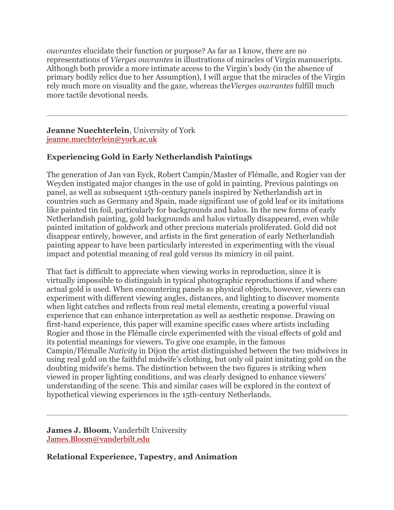*ouvrantes* elucidate their function or purpose? As far as I know, there are no representations of *Vierges ouvrantes* in illustrations of miracles of Virgin manuscripts. Although both provide a more intimate access to the Virgin's body (in the absence of primary bodily relics due to her Assumption), I will argue that the miracles of the Virgin rely much more on visuality and the gaze, whereas the*Vierges ouvrantes* fulfill much more tactile devotional needs.

### **Jeanne Nuechterlein**, University of York jeanne.nuechterlein@york.ac.uk

# **Experiencing Gold in Early Netherlandish Paintings**

The generation of Jan van Eyck, Robert Campin/Master of Flémalle, and Rogier van der Weyden instigated major changes in the use of gold in painting. Previous paintings on panel, as well as subsequent 15th-century panels inspired by Netherlandish art in countries such as Germany and Spain, made significant use of gold leaf or its imitations like painted tin foil, particularly for backgrounds and halos. In the new forms of early Netherlandish painting, gold backgrounds and halos virtually disappeared, even while painted imitation of goldwork and other precious materials proliferated. Gold did not disappear entirely, however, and artists in the first generation of early Netherlandish painting appear to have been particularly interested in experimenting with the visual impact and potential meaning of real gold versus its mimicry in oil paint.

That fact is difficult to appreciate when viewing works in reproduction, since it is virtually impossible to distinguish in typical photographic reproductions if and where actual gold is used. When encountering panels as physical objects, however, viewers can experiment with different viewing angles, distances, and lighting to discover moments when light catches and reflects from real metal elements, creating a powerful visual experience that can enhance interpretation as well as aesthetic response. Drawing on first-hand experience, this paper will examine specific cases where artists including Rogier and those in the Flémalle circle experimented with the visual effects of gold and its potential meanings for viewers. To give one example, in the famous Campin/Flémalle *Nativity* in Dijon the artist distinguished between the two midwives in using real gold on the faithful midwife's clothing, but only oil paint imitating gold on the doubting midwife's hems. The distinction between the two figures is striking when viewed in proper lighting conditions, and was clearly designed to enhance viewers' understanding of the scene. This and similar cases will be explored in the context of hypothetical viewing experiences in the 15th-century Netherlands.

**James J. Bloom**, Vanderbilt University James.Bloom@vanderbilt.edu

**Relational Experience, Tapestry, and Animation**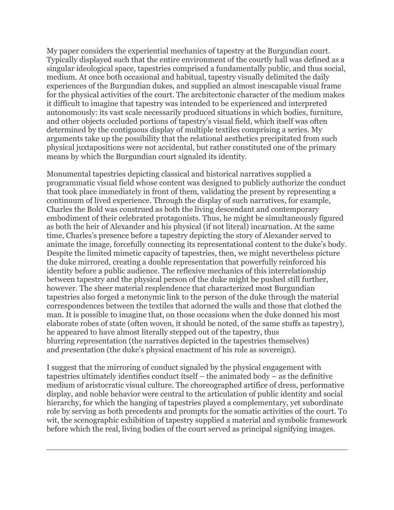My paper considers the experiential mechanics of tapestry at the Burgundian court. Typically displayed such that the entire environment of the courtly hall was defined as a singular ideological space, tapestries comprised a fundamentally public, and thus social, medium. At once both occasional and habitual, tapestry visually delimited the daily experiences of the Burgundian dukes, and supplied an almost inescapable visual frame for the physical activities of the court. The architectonic character of the medium makes it difficult to imagine that tapestry was intended to be experienced and interpreted autonomously: its vast scale necessarily produced situations in which bodies, furniture, and other objects occluded portions of tapestry's visual field, which itself was often determined by the contiguous display of multiple textiles comprising a series. My arguments take up the possibility that the relational aesthetics precipitated from such physical juxtapositions were not accidental, but rather constituted one of the primary means by which the Burgundian court signaled its identity.

Monumental tapestries depicting classical and historical narratives supplied a programmatic visual field whose content was designed to publicly authorize the conduct that took place immediately in front of them, validating the present by representing a continuum of lived experience. Through the display of such narratives, for example, Charles the Bold was construed as both the living descendant and contemporary embodiment of their celebrated protagonists. Thus, he might be simultaneously figured as both the heir of Alexander and his physical (if not literal) incarnation. At the same time, Charles's presence before a tapestry depicting the story of Alexander served to animate the image, forcefully connecting its representational content to the duke's body. Despite the limited mimetic capacity of tapestries, then, we might nevertheless picture the duke mirrored, creating a double representation that powerfully reinforced his identity before a public audience. The reflexive mechanics of this interrelationship between tapestry and the physical person of the duke might be pushed still further, however. The sheer material resplendence that characterized most Burgundian tapestries also forged a metonymic link to the person of the duke through the material correspondences between the textiles that adorned the walls and those that clothed the man. It is possible to imagine that, on those occasions when the duke donned his most elaborate robes of state (often woven, it should be noted, of the same stuffs as tapestry), he appeared to have almost literally stepped out of the tapestry, thus blurring *re*presentation (the narratives depicted in the tapestries themselves) and *pre*sentation (the duke's physical enactment of his role as sovereign).

I suggest that the mirroring of conduct signaled by the physical engagement with tapestries ultimately identifies conduct itself – the animated body – as the definitive medium of aristocratic visual culture. The choreographed artifice of dress, performative display, and noble behavior were central to the articulation of public identity and social hierarchy, for which the hanging of tapestries played a complementary, yet subordinate role by serving as both precedents and prompts for the somatic activities of the court. To wit, the scenographic exhibition of tapestry supplied a material and symbolic framework before which the real, living bodies of the court served as principal signifying images.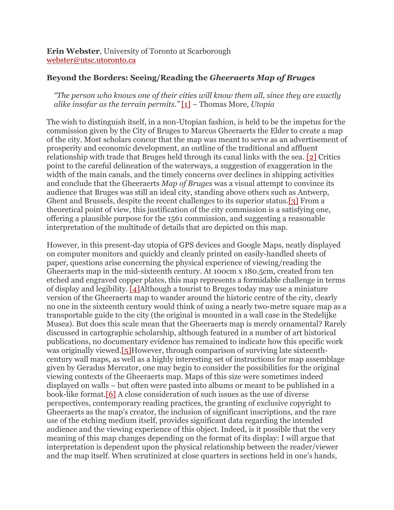**Erin Webster**, University of Toronto at Scarborough webster@utsc.utoronto.ca

#### **Beyond the Borders: Seeing/Reading the** *Gheeraerts Map of Bruges*

*"The person who knows one of their cities will know them all, since they are exactly alike insofar as the terrain permits."* [1] – Thomas More, *Utopia*

The wish to distinguish itself, in a non-Utopian fashion, is held to be the impetus for the commission given by the City of Bruges to Marcus Gheeraerts the Elder to create a map of the city. Most scholars concur that the map was meant to serve as an advertisement of prosperity and economic development, an outline of the traditional and affluent relationship with trade that Bruges held through its canal links with the sea. [2] Critics point to the careful delineation of the waterways, a suggestion of exaggeration in the width of the main canals, and the timely concerns over declines in shipping activities and conclude that the Gheeraerts *Map of Bruges* was a visual attempt to convince its audience that Bruges was still an ideal city, standing above others such as Antwerp, Ghent and Brussels, despite the recent challenges to its superior status.[3] From a theoretical point of view, this justification of the city commission is a satisfying one, offering a plausible purpose for the 1561 commission, and suggesting a reasonable interpretation of the multitude of details that are depicted on this map.

However, in this present-day utopia of GPS devices and Google Maps, neatly displayed on computer monitors and quickly and cleanly printed on easily-handled sheets of paper, questions arise concerning the physical experience of viewing/reading the Gheeraerts map in the mid-sixteenth century. At 100cm x 180.5cm, created from ten etched and engraved copper plates, this map represents a formidable challenge in terms of display and legibility. [4]Although a tourist to Bruges today may use a miniature version of the Gheeraerts map to wander around the historic centre of the city, clearly no one in the sixteenth century would think of using a nearly two-metre square map as a transportable guide to the city (the original is mounted in a wall case in the Stedelijke Musea). But does this scale mean that the Gheeraerts map is merely ornamental? Rarely discussed in cartographic scholarship, although featured in a number of art historical publications, no documentary evidence has remained to indicate how this specific work was originally viewed.[5]However, through comparison of surviving late sixteenthcentury wall maps, as well as a highly interesting set of instructions for map assemblage given by Geradus Mercator, one may begin to consider the possibilities for the original viewing contexts of the Gheeraerts map. Maps of this size were sometimes indeed displayed on walls – but often were pasted into albums or meant to be published in a book-like format.[6] A close consideration of such issues as the use of diverse perspectives, contemporary reading practices, the granting of exclusive copyright to Gheeraerts as the map's creator, the inclusion of significant inscriptions, and the rare use of the etching medium itself, provides significant data regarding the intended audience and the viewing experience of this object. Indeed, is it possible that the very meaning of this map changes depending on the format of its display: I will argue that interpretation is dependent upon the physical relationship between the reader/viewer and the map itself. When scrutinized at close quarters in sections held in one's hands,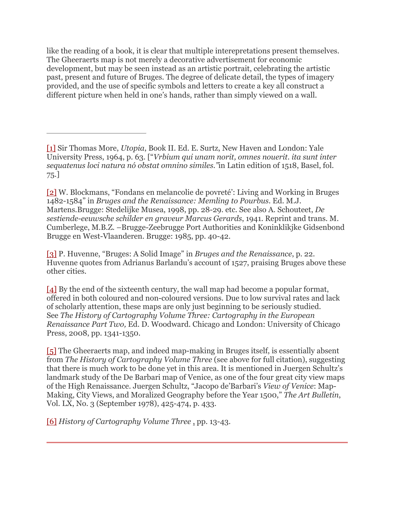like the reading of a book, it is clear that multiple interepretations present themselves. The Gheeraerts map is not merely a decorative advertisement for economic development, but may be seen instead as an artistic portrait, celebrating the artistic past, present and future of Bruges. The degree of delicate detail, the types of imagery provided, and the use of specific symbols and letters to create a key all construct a different picture when held in one's hands, rather than simply viewed on a wall.

[2] W. Blockmans, "Fondans en melancolie de povreté': Living and Working in Bruges 1482-1584" in *Bruges and the Renaissance: Memling to Pourbus.* Ed. M.J. Martens*.*Brugge: Stedelijke Musea, 1998, pp. 28-29. etc. See also A. Schouteet, *De sestiende-eeuwsche schilder en graveur Marcus Gerards*, 1941. Reprint and trans. M. Cumberlege, M.B.Z. –Brugge-Zeebrugge Port Authorities and Koninklikjke Gidsenbond Brugge en West-Vlaanderen. Brugge: 1985, pp. 40-42.

[3] P. Huvenne, "Bruges: A Solid Image" in *Bruges and the Renaissance*, p. 22. Huvenne quotes from Adrianus Barlandu's account of 1527, praising Bruges above these other cities.

[4] By the end of the sixteenth century, the wall map had become a popular format, offered in both coloured and non-coloured versions. Due to low survival rates and lack of scholarly attention, these maps are only just beginning to be seriously studied. See *The History of Cartography Volume Three: Cartography in the European Renaissance Part Two,* Ed. D. Woodward. Chicago and London: University of Chicago Press, 2008, pp. 1341-1350.

[5] The Gheeraerts map, and indeed map-making in Bruges itself, is essentially absent from *The History of Cartography Volume Three* (see above for full citation), suggesting that there is much work to be done yet in this area. It is mentioned in Juergen Schultz's landmark study of the De Barbari map of Venice, as one of the four great city view maps of the High Renaissance. Juergen Schultz, "Jacopo de'Barbari's *View of Venice*: Map-Making, City Views, and Moralized Geography before the Year 1500," *The Art Bulletin*, Vol. LX, No. 3 (September 1978), 425-474, p. 433.

[6] *History of Cartography Volume Three* , pp. 13-43.

<sup>[1]</sup> Sir Thomas More, *Utopia*, Book II. Ed. E. Surtz, New Haven and London: Yale University Press, 1964, p. 63. ["*Vrbium qui unam norit, omnes nouerit. ita sunt inter sequatenus loci natura nó obstat omnino similes."*in Latin edition of 1518, Basel, fol. 75.]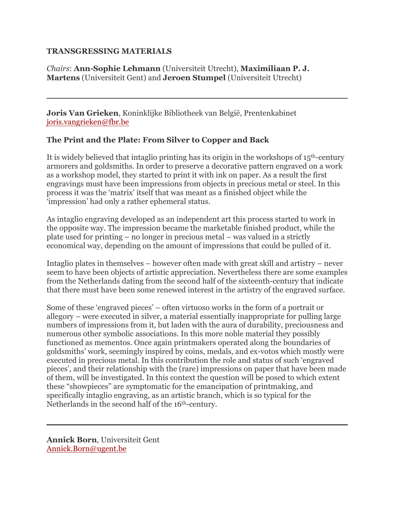### **TRANSGRESSING MATERIALS**

## *Chairs*: **Ann-Sophie Lehmann** (Universiteit Utrecht), **Maximiliaan P. J. Martens** (Universiteit Gent) and **Jeroen Stumpel** (Universiteit Utrecht)

**Joris Van Grieken**, Koninklijke Bibliotheek van België, Prentenkabinet joris.vangrieken@fbr.be

# **The Print and the Plate: From Silver to Copper and Back**

It is widely believed that intaglio printing has its origin in the workshops of 15th-century armorers and goldsmiths. In order to preserve a decorative pattern engraved on a work as a workshop model, they started to print it with ink on paper. As a result the first engravings must have been impressions from objects in precious metal or steel. In this process it was the 'matrix' itself that was meant as a finished object while the 'impression' had only a rather ephemeral status.

As intaglio engraving developed as an independent art this process started to work in the opposite way. The impression became the marketable finished product, while the plate used for printing – no longer in precious metal – was valued in a strictly economical way, depending on the amount of impressions that could be pulled of it.

Intaglio plates in themselves – however often made with great skill and artistry – never seem to have been objects of artistic appreciation. Nevertheless there are some examples from the Netherlands dating from the second half of the sixteenth-century that indicate that there must have been some renewed interest in the artistry of the engraved surface.

Some of these 'engraved pieces' – often virtuoso works in the form of a portrait or allegory – were executed in silver, a material essentially inappropriate for pulling large numbers of impressions from it, but laden with the aura of durability, preciousness and numerous other symbolic associations. In this more noble material they possibly functioned as mementos. Once again printmakers operated along the boundaries of goldsmiths' work, seemingly inspired by coins, medals, and ex-votos which mostly were executed in precious metal. In this contribution the role and status of such 'engraved pieces', and their relationship with the (rare) impressions on paper that have been made of them, will be investigated. In this context the question will be posed to which extent these "showpieces" are symptomatic for the emancipation of printmaking, and specifically intaglio engraving, as an artistic branch, which is so typical for the Netherlands in the second half of the 16th-century.

**Annick Born**, Universiteit Gent Annick.Born@ugent.be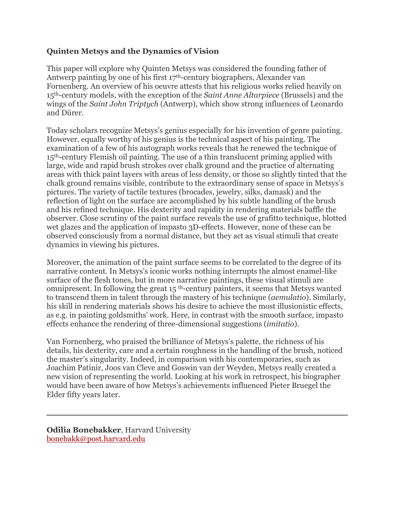# **Quinten Metsys and the Dynamics of Vision**

This paper will explore why Quinten Metsys was considered the founding father of Antwerp painting by one of his first 17th-century biographers, Alexander van Fornenberg. An overview of his oeuvre attests that his religious works relied heavily on 15th-century models, with the exception of the *Saint Anne Altarpiece* (Brussels) and the wings of the *Saint John Triptych* (Antwerp), which show strong influences of Leonardo and Dürer.

Today scholars recognize Metsys's genius especially for his invention of genre painting. However, equally worthy of his genius is the technical aspect of his painting. The examination of a few of his autograph works reveals that he renewed the technique of 15th-century Flemish oil painting. The use of a thin translucent priming applied with large, wide and rapid brush strokes over chalk ground and the practice of alternating areas with thick paint layers with areas of less density, or those so slightly tinted that the chalk ground remains visible, contribute to the extraordinary sense of space in Metsys's pictures. The variety of tactile textures (brocades, jewelry, silks, damask) and the reflection of light on the surface are accomplished by his subtle handling of the brush and his refined technique. His dexterity and rapidity in rendering materials baffle the observer. Close scrutiny of the paint surface reveals the use of grafitto technique, blotted wet glazes and the application of impasto 3D-effects. However, none of these can be observed consciously from a normal distance, but they act as visual stimuli that create dynamics in viewing his pictures.

Moreover, the animation of the paint surface seems to be correlated to the degree of its narrative content. In Metsys's iconic works nothing interrupts the almost enamel-like surface of the flesh tones, but in more narrative paintings, these visual stimuli are omnipresent. In following the great 15 th-century painters, it seems that Metsys wanted to transcend them in talent through the mastery of his technique (*aemulatio*). Similarly, his skill in rendering materials shows his desire to achieve the most illusionistic effects, as e.g. in painting goldsmiths' work. Here, in contrast with the smooth surface, impasto effects enhance the rendering of three-dimensional suggestions (*imitatio*).

Van Fornenberg, who praised the brilliance of Metsys's palette, the richness of his details, his dexterity, care and a certain roughness in the handling of the brush, noticed the master's singularity. Indeed, in comparison with his contemporaries, such as Joachim Patinir, Joos van Cleve and Goswin van der Weyden, Metsys really created a new vision of representing the world. Looking at his work in retrospect, his biographer would have been aware of how Metsys's achievements influenced Pieter Bruegel the Elder fifty years later.

**Odilia Bonebakker**, Harvard University bonebakk@post.harvard.edu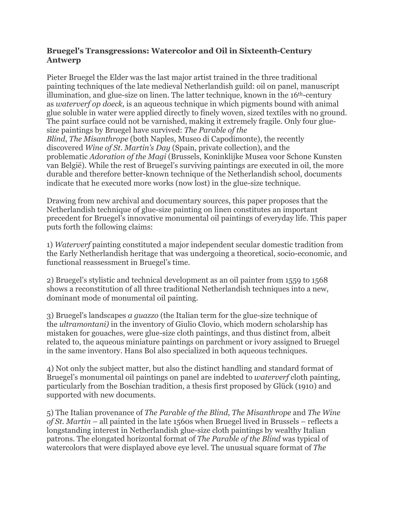# **Bruegel's Transgressions: Watercolor and Oil in Sixteenth-Century Antwerp**

Pieter Bruegel the Elder was the last major artist trained in the three traditional painting techniques of the late medieval Netherlandish guild: oil on panel, manuscript illumination, and glue-size on linen. The latter technique, known in the 16th-century as *waterverf op doeck,* is an aqueous technique in which pigments bound with animal glue soluble in water were applied directly to finely woven, sized textiles with no ground. The paint surface could not be varnished, making it extremely fragile. Only four gluesize paintings by Bruegel have survived: *The Parable of the Blind*, *The Misanthrope* (both Naples, Museo di Capodimonte), the recently discovered *Wine of St. Martin's Day* (Spain, private collection), and the problematic *Adoration of the Magi* (Brussels, Koninklijke Musea voor Schone Kunsten van België). While the rest of Bruegel's surviving paintings are executed in oil, the more durable and therefore better-known technique of the Netherlandish school, documents indicate that he executed more works (now lost) in the glue-size technique.

Drawing from new archival and documentary sources, this paper proposes that the Netherlandish technique of glue-size painting on linen constitutes an important precedent for Bruegel's innovative monumental oil paintings of everyday life. This paper puts forth the following claims:

1) *Waterverf* painting constituted a major independent secular domestic tradition from the Early Netherlandish heritage that was undergoing a theoretical, socio-economic, and functional reassessment in Bruegel's time.

2) Bruegel's stylistic and technical development as an oil painter from 1559 to 1568 shows a reconstitution of all three traditional Netherlandish techniques into a new, dominant mode of monumental oil painting.

3) Bruegel's landscapes *a guazzo* (the Italian term for the glue-size technique of the *ultramontani)* in the inventory of Giulio Clovio, which modern scholarship has mistaken for gouaches, were glue-size cloth paintings, and thus distinct from, albeit related to, the aqueous miniature paintings on parchment or ivory assigned to Bruegel in the same inventory. Hans Bol also specialized in both aqueous techniques.

4) Not only the subject matter, but also the distinct handling and standard format of Bruegel's monumental oil paintings on panel are indebted to *waterverf* cloth painting, particularly from the Boschian tradition, a thesis first proposed by Glück (1910) and supported with new documents.

5) The Italian provenance of *The Parable of the Blind, The Misanthrope* and *The Wine of St. Martin* – all painted in the late 1560s when Bruegel lived in Brussels – reflects a longstanding interest in Netherlandish glue-size cloth paintings by wealthy Italian patrons. The elongated horizontal format of *The Parable of the Blind* was typical of watercolors that were displayed above eye level. The unusual square format of *The*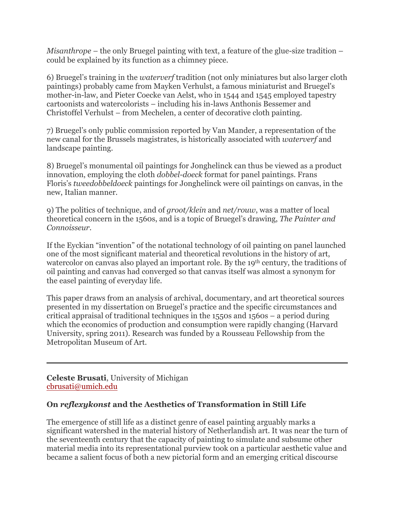*Misanthrope* – the only Bruegel painting with text, a feature of the glue-size tradition – could be explained by its function as a chimney piece.

6) Bruegel's training in the *waterverf* tradition (not only miniatures but also larger cloth paintings) probably came from Mayken Verhulst, a famous miniaturist and Bruegel's mother-in-law, and Pieter Coecke van Aelst, who in 1544 and 1545 employed tapestry cartoonists and watercolorists – including his in-laws Anthonis Bessemer and Christoffel Verhulst – from Mechelen, a center of decorative cloth painting.

7) Bruegel's only public commission reported by Van Mander, a representation of the new canal for the Brussels magistrates, is historically associated with *waterverf* and landscape painting.

8) Bruegel's monumental oil paintings for Jonghelinck can thus be viewed as a product innovation, employing the cloth *dobbel-doeck* format for panel paintings. Frans Floris's *tweedobbeldoeck* paintings for Jonghelinck were oil paintings on canvas, in the new, Italian manner*.*

9) The politics of technique, and of *groot/klein* and *net/rouw*, was a matter of local theoretical concern in the 1560s, and is a topic of Bruegel's drawing, *The Painter and Connoisseur*.

If the Eyckian "invention" of the notational technology of oil painting on panel launched one of the most significant material and theoretical revolutions in the history of art, watercolor on canvas also played an important role. By the 19<sup>th</sup> century, the traditions of oil painting and canvas had converged so that canvas itself was almost a synonym for the easel painting of everyday life.

This paper draws from an analysis of archival, documentary, and art theoretical sources presented in my dissertation on Bruegel's practice and the specific circumstances and critical appraisal of traditional techniques in the 1550s and 1560s – a period during which the economics of production and consumption were rapidly changing (Harvard University, spring 2011). Research was funded by a Rousseau Fellowship from the Metropolitan Museum of Art.

**Celeste Brusati**, University of Michigan cbrusati@umich.edu

# **On** *reflexykonst* **and the Aesthetics of Transformation in Still Life**

The emergence of still life as a distinct genre of easel painting arguably marks a significant watershed in the material history of Netherlandish art. It was near the turn of the seventeenth century that the capacity of painting to simulate and subsume other material media into its representational purview took on a particular aesthetic value and became a salient focus of both a new pictorial form and an emerging critical discourse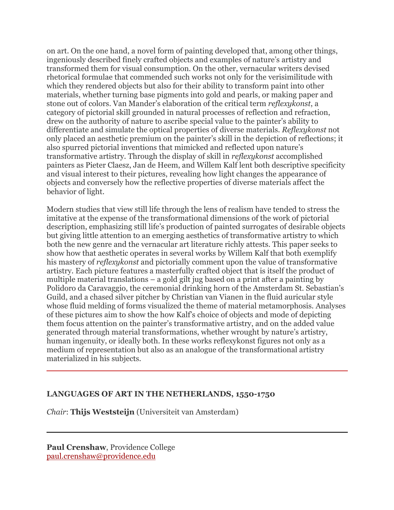on art. On the one hand, a novel form of painting developed that, among other things, ingeniously described finely crafted objects and examples of nature's artistry and transformed them for visual consumption. On the other, vernacular writers devised rhetorical formulae that commended such works not only for the verisimilitude with which they rendered objects but also for their ability to transform paint into other materials, whether turning base pigments into gold and pearls, or making paper and stone out of colors. Van Mander's elaboration of the critical term *reflexykonst*, a category of pictorial skill grounded in natural processes of reflection and refraction, drew on the authority of nature to ascribe special value to the painter's ability to differentiate and simulate the optical properties of diverse materials. *Reflexykonst* not only placed an aesthetic premium on the painter's skill in the depiction of reflections; it also spurred pictorial inventions that mimicked and reflected upon nature's transformative artistry. Through the display of skill in *reflexykonst* accomplished painters as Pieter Claesz, Jan de Heem, and Willem Kalf lent both descriptive specificity and visual interest to their pictures, revealing how light changes the appearance of objects and conversely how the reflective properties of diverse materials affect the behavior of light.

Modern studies that view still life through the lens of realism have tended to stress the imitative at the expense of the transformational dimensions of the work of pictorial description, emphasizing still life's production of painted surrogates of desirable objects but giving little attention to an emerging aesthetics of transformative artistry to which both the new genre and the vernacular art literature richly attests. This paper seeks to show how that aesthetic operates in several works by Willem Kalf that both exemplify his mastery of *reflexykonst* and pictorially comment upon the value of transformative artistry. Each picture features a masterfully crafted object that is itself the product of multiple material translations – a gold gilt jug based on a print after a painting by Polidoro da Caravaggio, the ceremonial drinking horn of the Amsterdam St. Sebastian's Guild, and a chased silver pitcher by Christian van Vianen in the fluid auricular style whose fluid melding of forms visualized the theme of material metamorphosis. Analyses of these pictures aim to show the how Kalf's choice of objects and mode of depicting them focus attention on the painter's transformative artistry, and on the added value generated through material transformations, whether wrought by nature's artistry, human ingenuity, or ideally both. In these works reflexykonst figures not only as a medium of representation but also as an analogue of the transformational artistry materialized in his subjects.

#### **LANGUAGES OF ART IN THE NETHERLANDS, 1550-1750**

*Chair*: **Thijs Weststeijn** (Universiteit van Amsterdam)

**Paul Crenshaw**, Providence College paul.crenshaw@providence.edu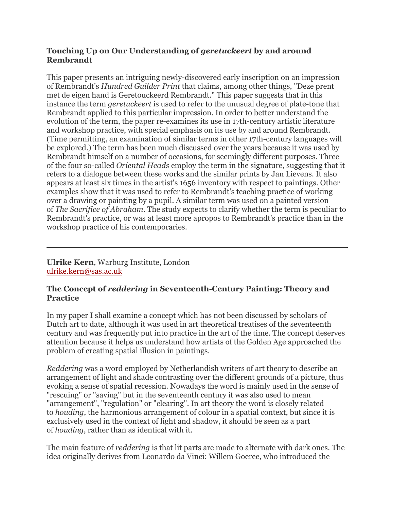# **Touching Up on Our Understanding of** *geretuckeert* **by and around Rembrandt**

This paper presents an intriguing newly-discovered early inscription on an impression of Rembrandt's *Hundred Guilder Print* that claims, among other things, "Deze prent met de eigen hand is Geretouckeerd Rembrandt." This paper suggests that in this instance the term *geretuckeert* is used to refer to the unusual degree of plate-tone that Rembrandt applied to this particular impression. In order to better understand the evolution of the term, the paper re-examines its use in 17th-century artistic literature and workshop practice, with special emphasis on its use by and around Rembrandt. (Time permitting, an examination of similar terms in other 17th-century languages will be explored.) The term has been much discussed over the years because it was used by Rembrandt himself on a number of occasions, for seemingly different purposes. Three of the four so-called *Oriental Heads* employ the term in the signature, suggesting that it refers to a dialogue between these works and the similar prints by Jan Lievens. It also appears at least six times in the artist's 1656 inventory with respect to paintings. Other examples show that it was used to refer to Rembrandt's teaching practice of working over a drawing or painting by a pupil. A similar term was used on a painted version of *The Sacrifice of Abraham*. The study expects to clarify whether the term is peculiar to Rembrandt's practice, or was at least more apropos to Rembrandt's practice than in the workshop practice of his contemporaries.

**Ulrike Kern**, Warburg Institute, London ulrike.kern@sas.ac.uk

# **The Concept of** *reddering* **in Seventeenth-Century Painting: Theory and Practice**

In my paper I shall examine a concept which has not been discussed by scholars of Dutch art to date, although it was used in art theoretical treatises of the seventeenth century and was frequently put into practice in the art of the time. The concept deserves attention because it helps us understand how artists of the Golden Age approached the problem of creating spatial illusion in paintings.

*Reddering* was a word employed by Netherlandish writers of art theory to describe an arrangement of light and shade contrasting over the different grounds of a picture, thus evoking a sense of spatial recession. Nowadays the word is mainly used in the sense of "rescuing" or "saving" but in the seventeenth century it was also used to mean "arrangement", "regulation" or "clearing". In art theory the word is closely related to *houding*, the harmonious arrangement of colour in a spatial context, but since it is exclusively used in the context of light and shadow, it should be seen as a part of *houding*, rather than as identical with it.

The main feature of *reddering* is that lit parts are made to alternate with dark ones. The idea originally derives from Leonardo da Vinci: Willem Goeree, who introduced the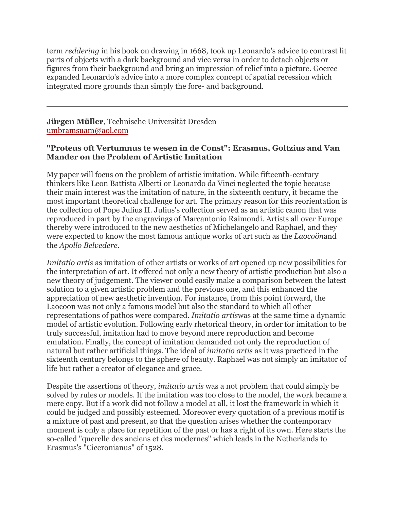term *reddering* in his book on drawing in 1668, took up Leonardo's advice to contrast lit parts of objects with a dark background and vice versa in order to detach objects or figures from their background and bring an impression of relief into a picture. Goeree expanded Leonardo's advice into a more complex concept of spatial recession which integrated more grounds than simply the fore- and background.

**Jürgen Müller**, Technische Universität Dresden umbramsuam@aol.com

# **"Proteus oft Vertumnus te wesen in de Const": Erasmus, Goltzius and Van Mander on the Problem of Artistic Imitation**

My paper will focus on the problem of artistic imitation. While fifteenth-century thinkers like Leon Battista Alberti or Leonardo da Vinci neglected the topic because their main interest was the imitation of nature, in the sixteenth century, it became the most important theoretical challenge for art. The primary reason for this reorientation is the collection of Pope Julius II. Julius's collection served as an artistic canon that was reproduced in part by the engravings of Marcantonio Raimondi. Artists all over Europe thereby were introduced to the new aesthetics of Michelangelo and Raphael, and they were expected to know the most famous antique works of art such as the *Laocoön*and the *Apollo Belvedere*.

*Imitatio artis* as imitation of other artists or works of art opened up new possibilities for the interpretation of art. It offered not only a new theory of artistic production but also a new theory of judgement. The viewer could easily make a comparison between the latest solution to a given artistic problem and the previous one, and this enhanced the appreciation of new aesthetic invention. For instance, from this point forward, the Laocoon was not only a famous model but also the standard to which all other representations of pathos were compared. *Imitatio artis*was at the same time a dynamic model of artistic evolution. Following early rhetorical theory, in order for imitation to be truly successful, imitation had to move beyond mere reproduction and become emulation. Finally, the concept of imitation demanded not only the reproduction of natural but rather artificial things. The ideal of *imitatio artis* as it was practiced in the sixteenth century belongs to the sphere of beauty. Raphael was not simply an imitator of life but rather a creator of elegance and grace.

Despite the assertions of theory, *imitatio artis* was a not problem that could simply be solved by rules or models. If the imitation was too close to the model, the work became a mere copy. But if a work did not follow a model at all, it lost the framework in which it could be judged and possibly esteemed. Moreover every quotation of a previous motif is a mixture of past and present, so that the question arises whether the contemporary moment is only a place for repetition of the past or has a right of its own. Here starts the so-called "querelle des anciens et des modernes" which leads in the Netherlands to Erasmus's "Ciceronianus" of 1528.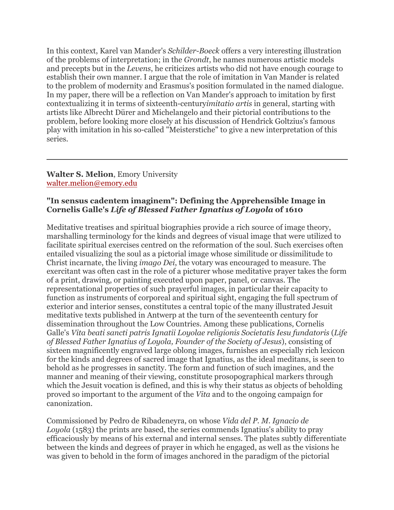In this context, Karel van Mander's *Schilder-Boeck* offers a very interesting illustration of the problems of interpretation; in the *Grondt*, he names numerous artistic models and precepts but in the *Levens*, he criticizes artists who did not have enough courage to establish their own manner. I argue that the role of imitation in Van Mander is related to the problem of modernity and Erasmus's position formulated in the named dialogue. In my paper, there will be a reflection on Van Mander's approach to imitation by first contextualizing it in terms of sixteenth-century*imitatio artis* in general, starting with artists like Albrecht Dürer and Michelangelo and their pictorial contributions to the problem, before looking more closely at his discussion of Hendrick Goltzius's famous play with imitation in his so-called "Meisterstiche" to give a new interpretation of this series.

#### **Walter S. Melion**, Emory University walter.melion@emory.edu

### **"In sensus cadentem imaginem": Defining the Apprehensible Image in Cornelis Galle's** *Life of Blessed Father Ignatius of Loyola* **of 1610**

Meditative treatises and spiritual biographies provide a rich source of image theory, marshalling terminology for the kinds and degrees of visual image that were utilized to facilitate spiritual exercises centred on the reformation of the soul. Such exercises often entailed visualizing the soul as a pictorial image whose similitude or dissimilitude to Christ incarnate, the living *imago Dei*, the votary was encouraged to measure. The exercitant was often cast in the role of a picturer whose meditative prayer takes the form of a print, drawing, or painting executed upon paper, panel, or canvas. The representational properties of such prayerful images, in particular their capacity to function as instruments of corporeal and spiritual sight, engaging the full spectrum of exterior and interior senses, constitutes a central topic of the many illustrated Jesuit meditative texts published in Antwerp at the turn of the seventeenth century for dissemination throughout the Low Countries. Among these publications, Cornelis Galle's *Vita beati sancti patris Ignatii Loyolae religionis Societatis Iesu fundatoris* (*Life of Blessed Father Ignatius of Loyola, Founder of the Society of Jesus*), consisting of sixteen magnificently engraved large oblong images, furnishes an especially rich lexicon for the kinds and degrees of sacred image that Ignatius, as the ideal meditans, is seen to behold as he progresses in sanctity. The form and function of such imagines, and the manner and meaning of their viewing, constitute prosopographical markers through which the Jesuit vocation is defined, and this is why their status as objects of beholding proved so important to the argument of the *Vita* and to the ongoing campaign for canonization.

Commissioned by Pedro de Ribadeneyra, on whose *Vida del P. M. Ignacio de Loyola* (1583) the prints are based, the series commends Ignatius's ability to pray efficaciously by means of his external and internal senses. The plates subtly differentiate between the kinds and degrees of prayer in which he engaged, as well as the visions he was given to behold in the form of images anchored in the paradigm of the pictorial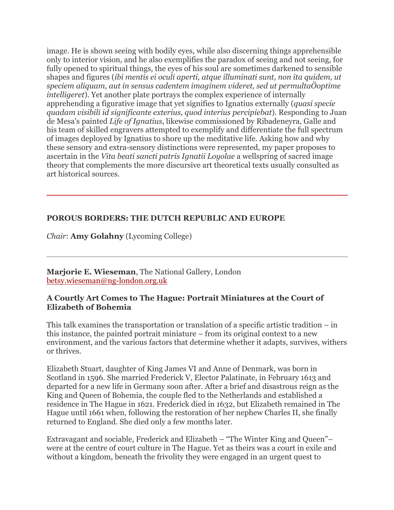image. He is shown seeing with bodily eyes, while also discerning things apprehensible only to interior vision, and he also exemplifies the paradox of seeing and not seeing, for fully opened to spiritual things, the eyes of his soul are sometimes darkened to sensible shapes and figures (*ibi mentis ei oculi aperti, atque illuminati sunt, non ita quidem, ut speciem aliquam, aut in sensus cadentem imaginem videret, sed ut permultaÖoptime intelligeret*). Yet another plate portrays the complex experience of internally apprehending a figurative image that yet signifies to Ignatius externally (*quasi specie quadam visibili id significante exterius, quod interius percipiebat*). Responding to Juan de Mesa's painted *Life of Ignatius*, likewise commissioned by Ribadeneyra, Galle and his team of skilled engravers attempted to exemplify and differentiate the full spectrum of images deployed by Ignatius to shore up the meditative life. Asking how and why these sensory and extra-sensory distinctions were represented, my paper proposes to ascertain in the *Vita beati sancti patris Ignatii Loyolae* a wellspring of sacred image theory that complements the more discursive art theoretical texts usually consulted as art historical sources.

# **POROUS BORDERS: THE DUTCH REPUBLIC AND EUROPE**

*Chair*: **Amy Golahny** (Lycoming College)

**Marjorie E. Wieseman**, The National Gallery, London betsy.wieseman@ng-london.org.uk

### **A Courtly Art Comes to The Hague: Portrait Miniatures at the Court of Elizabeth of Bohemia**

This talk examines the transportation or translation of a specific artistic tradition – in this instance, the painted portrait miniature – from its original context to a new environment, and the various factors that determine whether it adapts, survives, withers or thrives.

Elizabeth Stuart, daughter of King James VI and Anne of Denmark, was born in Scotland in 1596. She married Frederick V, Elector Palatinate, in February 1613 and departed for a new life in Germany soon after. After a brief and disastrous reign as the King and Queen of Bohemia, the couple fled to the Netherlands and established a residence in The Hague in 1621. Frederick died in 1632, but Elizabeth remained in The Hague until 1661 when, following the restoration of her nephew Charles II, she finally returned to England. She died only a few months later.

Extravagant and sociable, Frederick and Elizabeth – "The Winter King and Queen"– were at the centre of court culture in The Hague. Yet as theirs was a court in exile and without a kingdom, beneath the frivolity they were engaged in an urgent quest to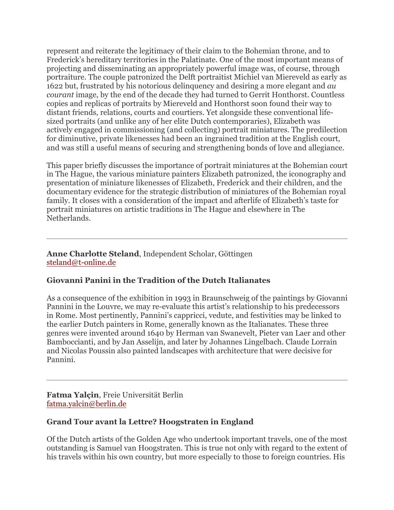represent and reiterate the legitimacy of their claim to the Bohemian throne, and to Frederick's hereditary territories in the Palatinate. One of the most important means of projecting and disseminating an appropriately powerful image was, of course, through portraiture. The couple patronized the Delft portraitist Michiel van Miereveld as early as 1622 but, frustrated by his notorious delinquency and desiring a more elegant and *au courant* image, by the end of the decade they had turned to Gerrit Honthorst. Countless copies and replicas of portraits by Miereveld and Honthorst soon found their way to distant friends, relations, courts and courtiers. Yet alongside these conventional lifesized portraits (and unlike any of her elite Dutch contemporaries), Elizabeth was actively engaged in commissioning (and collecting) portrait miniatures. The predilection for diminutive, private likenesses had been an ingrained tradition at the English court, and was still a useful means of securing and strengthening bonds of love and allegiance.

This paper briefly discusses the importance of portrait miniatures at the Bohemian court in The Hague, the various miniature painters Elizabeth patronized, the iconography and presentation of miniature likenesses of Elizabeth, Frederick and their children, and the documentary evidence for the strategic distribution of miniatures of the Bohemian royal family. It closes with a consideration of the impact and afterlife of Elizabeth's taste for portrait miniatures on artistic traditions in The Hague and elsewhere in The Netherlands.

**Anne Charlotte Steland**, Independent Scholar, Göttingen steland@t-online.de

# **Giovanni Panini in the Tradition of the Dutch Italianates**

As a consequence of the exhibition in 1993 in Braunschweig of the paintings by Giovanni Pannini in the Louvre, we may re-evaluate this artist's relationship to his predecessors in Rome. Most pertinently, Pannini's cappricci, vedute, and festivities may be linked to the earlier Dutch painters in Rome, generally known as the Italianates. These three genres were invented around 1640 by Herman van Swanevelt, Pieter van Laer and other Bamboccianti, and by Jan Asselijn, and later by Johannes Lingelbach. Claude Lorrain and Nicolas Poussin also painted landscapes with architecture that were decisive for Pannini.

**Fatma Yalçin**, Freie Universität Berlin fatma.yalcin@berlin.de

# **Grand Tour avant la Lettre? Hoogstraten in England**

Of the Dutch artists of the Golden Age who undertook important travels, one of the most outstanding is Samuel van Hoogstraten. This is true not only with regard to the extent of his travels within his own country, but more especially to those to foreign countries. His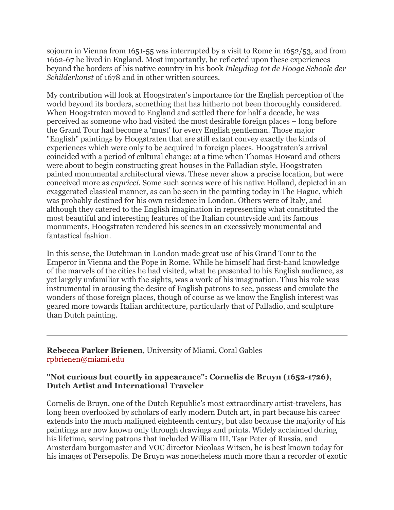sojourn in Vienna from 1651-55 was interrupted by a visit to Rome in 1652/53, and from 1662-67 he lived in England. Most importantly, he reflected upon these experiences beyond the borders of his native country in his book *Inleyding tot de Hooge Schoole der Schilderkonst* of 1678 and in other written sources.

My contribution will look at Hoogstraten's importance for the English perception of the world beyond its borders, something that has hitherto not been thoroughly considered. When Hoogstraten moved to England and settled there for half a decade, he was perceived as someone who had visited the most desirable foreign places – long before the Grand Tour had become a 'must' for every English gentleman. Those major "English" paintings by Hoogstraten that are still extant convey exactly the kinds of experiences which were only to be acquired in foreign places. Hoogstraten's arrival coincided with a period of cultural change: at a time when Thomas Howard and others were about to begin constructing great houses in the Palladian style, Hoogstraten painted monumental architectural views. These never show a precise location, but were conceived more as *capricci*. Some such scenes were of his native Holland, depicted in an exaggerated classical manner, as can be seen in the painting today in The Hague, which was probably destined for his own residence in London. Others were of Italy, and although they catered to the English imagination in representing what constituted the most beautiful and interesting features of the Italian countryside and its famous monuments, Hoogstraten rendered his scenes in an excessively monumental and fantastical fashion.

In this sense, the Dutchman in London made great use of his Grand Tour to the Emperor in Vienna and the Pope in Rome. While he himself had first-hand knowledge of the marvels of the cities he had visited, what he presented to his English audience, as yet largely unfamiliar with the sights, was a work of his imagination. Thus his role was instrumental in arousing the desire of English patrons to see, possess and emulate the wonders of those foreign places, though of course as we know the English interest was geared more towards Italian architecture, particularly that of Palladio, and sculpture than Dutch painting.

**Rebecca Parker Brienen**, University of Miami, Coral Gables rpbrienen@miami.edu

### **"Not curious but courtly in appearance": Cornelis de Bruyn (1652-1726), Dutch Artist and International Traveler**

Cornelis de Bruyn, one of the Dutch Republic's most extraordinary artist-travelers, has long been overlooked by scholars of early modern Dutch art, in part because his career extends into the much maligned eighteenth century, but also because the majority of his paintings are now known only through drawings and prints. Widely acclaimed during his lifetime, serving patrons that included William III, Tsar Peter of Russia, and Amsterdam burgomaster and VOC director Nicolaas Witsen, he is best known today for his images of Persepolis. De Bruyn was nonetheless much more than a recorder of exotic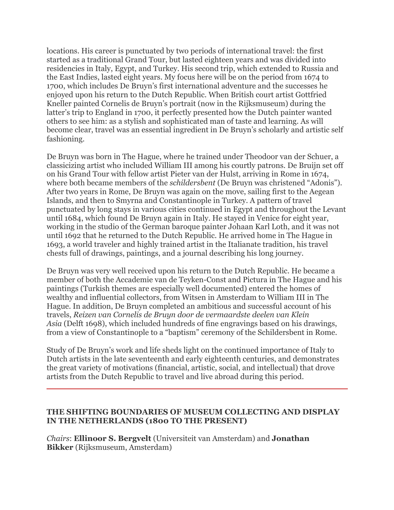locations. His career is punctuated by two periods of international travel: the first started as a traditional Grand Tour, but lasted eighteen years and was divided into residencies in Italy, Egypt, and Turkey. His second trip, which extended to Russia and the East Indies, lasted eight years. My focus here will be on the period from 1674 to 1700, which includes De Bruyn's first international adventure and the successes he enjoyed upon his return to the Dutch Republic. When British court artist Gottfried Kneller painted Cornelis de Bruyn's portrait (now in the Rijksmuseum) during the latter's trip to England in 1700, it perfectly presented how the Dutch painter wanted others to see him: as a stylish and sophisticated man of taste and learning. As will become clear, travel was an essential ingredient in De Bruyn's scholarly and artistic self fashioning.

De Bruyn was born in The Hague, where he trained under Theodoor van der Schuer, a classicizing artist who included William III among his courtly patrons. De Bruijn set off on his Grand Tour with fellow artist Pieter van der Hulst, arriving in Rome in 1674, where both became members of the *schildersbent* (De Bruyn was christened "Adonis"). After two years in Rome, De Bruyn was again on the move, sailing first to the Aegean Islands, and then to Smyrna and Constantinople in Turkey. A pattern of travel punctuated by long stays in various cities continued in Egypt and throughout the Levant until 1684, which found De Bruyn again in Italy. He stayed in Venice for eight year, working in the studio of the German baroque painter Johaan Karl Loth, and it was not until 1692 that he returned to the Dutch Republic. He arrived home in The Hague in 1693, a world traveler and highly trained artist in the Italianate tradition, his travel chests full of drawings, paintings, and a journal describing his long journey.

De Bruyn was very well received upon his return to the Dutch Republic. He became a member of both the Accademie van de Teyken-Const and Pictura in The Hague and his paintings (Turkish themes are especially well documented) entered the homes of wealthy and influential collectors, from Witsen in Amsterdam to William III in The Hague. In addition, De Bruyn completed an ambitious and successful account of his travels, *Reizen van Cornelis de Bruyn door de vermaardste deelen van Klein Asia* (Delft 1698), which included hundreds of fine engravings based on his drawings, from a view of Constantinople to a "baptism" ceremony of the Schildersbent in Rome.

Study of De Bruyn's work and life sheds light on the continued importance of Italy to Dutch artists in the late seventeenth and early eighteenth centuries, and demonstrates the great variety of motivations (financial, artistic, social, and intellectual) that drove artists from the Dutch Republic to travel and live abroad during this period.

### **THE SHIFTING BOUNDARIES OF MUSEUM COLLECTING AND DISPLAY IN THE NETHERLANDS (1800 TO THE PRESENT)**

*Chairs*: **Ellinoor S. Bergvelt** (Universiteit van Amsterdam) and **Jonathan Bikker** (Rijksmuseum, Amsterdam)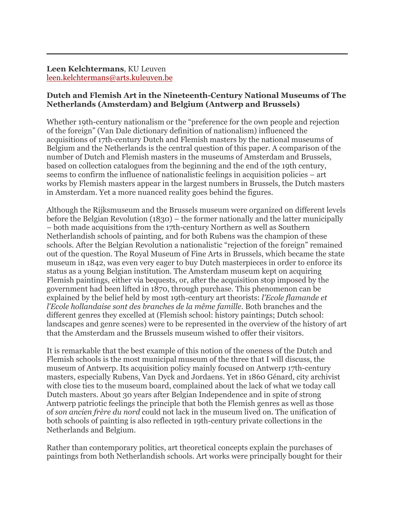**Leen Kelchtermans**, KU Leuven leen.kelchtermans@arts.kuleuven.be

### **Dutch and Flemish Art in the Nineteenth-Century National Museums of The Netherlands (Amsterdam) and Belgium (Antwerp and Brussels)**

Whether 19th-century nationalism or the "preference for the own people and rejection of the foreign" (Van Dale dictionary definition of nationalism) influenced the acquisitions of 17th-century Dutch and Flemish masters by the national museums of Belgium and the Netherlands is the central question of this paper. A comparison of the number of Dutch and Flemish masters in the museums of Amsterdam and Brussels, based on collection catalogues from the beginning and the end of the 19th century, seems to confirm the influence of nationalistic feelings in acquisition policies – art works by Flemish masters appear in the largest numbers in Brussels, the Dutch masters in Amsterdam. Yet a more nuanced reality goes behind the figures.

Although the Rijksmuseum and the Brussels museum were organized on different levels before the Belgian Revolution (1830) – the former nationally and the latter municipally – both made acquisitions from the 17th-century Northern as well as Southern Netherlandish schools of painting, and for both Rubens was the champion of these schools. After the Belgian Revolution a nationalistic "rejection of the foreign" remained out of the question. The Royal Museum of Fine Arts in Brussels, which became the state museum in 1842, was even very eager to buy Dutch masterpieces in order to enforce its status as a young Belgian institution. The Amsterdam museum kept on acquiring Flemish paintings, either via bequests, or, after the acquisition stop imposed by the government had been lifted in 1870, through purchase. This phenomenon can be explained by the belief held by most 19th-century art theorists: *l'Ecole flamande et l'Ecole hollandaise sont des branches de la même famille*. Both branches and the different genres they excelled at (Flemish school: history paintings; Dutch school: landscapes and genre scenes) were to be represented in the overview of the history of art that the Amsterdam and the Brussels museum wished to offer their visitors.

It is remarkable that the best example of this notion of the oneness of the Dutch and Flemish schools is the most municipal museum of the three that I will discuss, the museum of Antwerp. Its acquisition policy mainly focused on Antwerp 17th-century masters, especially Rubens, Van Dyck and Jordaens. Yet in 1860 Génard, city archivist with close ties to the museum board, complained about the lack of what we today call Dutch masters. About 30 years after Belgian Independence and in spite of strong Antwerp patriotic feelings the principle that both the Flemish genres as well as those of *son ancien frère du nord* could not lack in the museum lived on. The unification of both schools of painting is also reflected in 19th-century private collections in the Netherlands and Belgium.

Rather than contemporary politics, art theoretical concepts explain the purchases of paintings from both Netherlandish schools. Art works were principally bought for their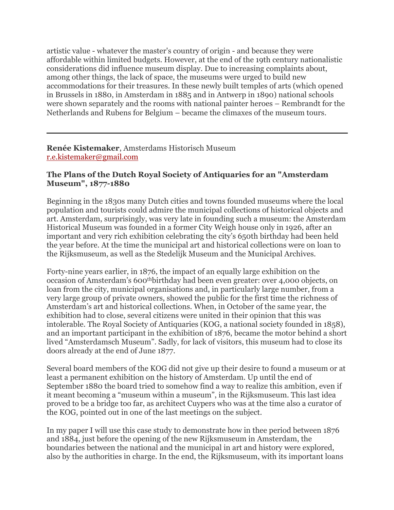artistic value - whatever the master's country of origin - and because they were affordable within limited budgets. However, at the end of the 19th century nationalistic considerations did influence museum display. Due to increasing complaints about, among other things, the lack of space, the museums were urged to build new accommodations for their treasures. In these newly built temples of arts (which opened in Brussels in 1880, in Amsterdam in 1885 and in Antwerp in 1890) national schools were shown separately and the rooms with national painter heroes – Rembrandt for the Netherlands and Rubens for Belgium – became the climaxes of the museum tours.

### **Renée Kistemaker**, Amsterdams Historisch Museum r.e.kistemaker@gmail.com

## **The Plans of the Dutch Royal Society of Antiquaries for an "Amsterdam Museum", 1877-1880**

Beginning in the 1830s many Dutch cities and towns founded museums where the local population and tourists could admire the municipal collections of historical objects and art. Amsterdam, surprisingly, was very late in founding such a museum: the Amsterdam Historical Museum was founded in a former City Weigh house only in 1926, after an important and very rich exhibition celebrating the city's 650th birthday had been held the year before. At the time the municipal art and historical collections were on loan to the Rijksmuseum, as well as the Stedelijk Museum and the Municipal Archives.

Forty-nine years earlier, in 1876, the impact of an equally large exhibition on the occasion of Amsterdam's 600thbirthday had been even greater: over 4,000 objects, on loan from the city, municipal organisations and, in particularly large number, from a very large group of private owners, showed the public for the first time the richness of Amsterdam's art and historical collections. When, in October of the same year, the exhibition had to close, several citizens were united in their opinion that this was intolerable. The Royal Society of Antiquaries (KOG, a national society founded in 1858), and an important participant in the exhibition of 1876, became the motor behind a short lived "Amsterdamsch Museum". Sadly, for lack of visitors, this museum had to close its doors already at the end of June 1877.

Several board members of the KOG did not give up their desire to found a museum or at least a permanent exhibition on the history of Amsterdam. Up until the end of September 1880 the board tried to somehow find a way to realize this ambition, even if it meant becoming a "museum within a museum", in the Rijksmuseum. This last idea proved to be a bridge too far, as architect Cuypers who was at the time also a curator of the KOG, pointed out in one of the last meetings on the subject.

In my paper I will use this case study to demonstrate how in thee period between 1876 and 1884, just before the opening of the new Rijksmuseum in Amsterdam, the boundaries between the national and the municipal in art and history were explored, also by the authorities in charge. In the end, the Rijksmuseum, with its important loans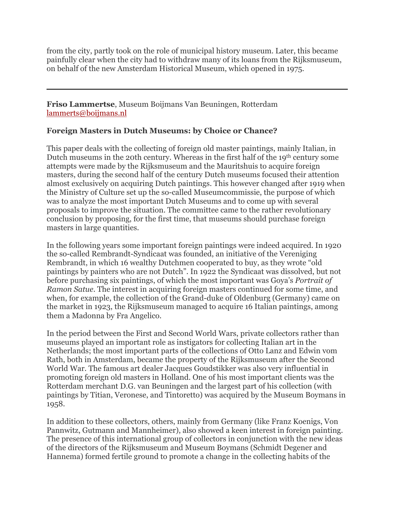from the city, partly took on the role of municipal history museum. Later, this became painfully clear when the city had to withdraw many of its loans from the Rijksmuseum, on behalf of the new Amsterdam Historical Museum, which opened in 1975.

**Friso Lammertse**, Museum Boijmans Van Beuningen, Rotterdam lammerts@boijmans.nl

# **Foreign Masters in Dutch Museums: by Choice or Chance?**

This paper deals with the collecting of foreign old master paintings, mainly Italian, in Dutch museums in the 20th century. Whereas in the first half of the 19th century some attempts were made by the Rijksmuseum and the Mauritshuis to acquire foreign masters, during the second half of the century Dutch museums focused their attention almost exclusively on acquiring Dutch paintings. This however changed after 1919 when the Ministry of Culture set up the so-called Museumcommissie, the purpose of which was to analyze the most important Dutch Museums and to come up with several proposals to improve the situation. The committee came to the rather revolutionary conclusion by proposing, for the first time, that museums should purchase foreign masters in large quantities.

In the following years some important foreign paintings were indeed acquired. In 1920 the so-called Rembrandt-Syndicaat was founded, an initiative of the Vereniging Rembrandt, in which 16 wealthy Dutchmen cooperated to buy, as they wrote "old paintings by painters who are not Dutch". In 1922 the Syndicaat was dissolved, but not before purchasing six paintings, of which the most important was Goya's *Portrait of Ramon Satue*. The interest in acquiring foreign masters continued for some time, and when, for example, the collection of the Grand-duke of Oldenburg (Germany) came on the market in 1923, the Rijksmuseum managed to acquire 16 Italian paintings, among them a Madonna by Fra Angelico.

In the period between the First and Second World Wars, private collectors rather than museums played an important role as instigators for collecting Italian art in the Netherlands; the most important parts of the collections of Otto Lanz and Edwin vom Rath, both in Amsterdam, became the property of the Rijksmuseum after the Second World War. The famous art dealer Jacques Goudstikker was also very influential in promoting foreign old masters in Holland. One of his most important clients was the Rotterdam merchant D.G. van Beuningen and the largest part of his collection (with paintings by Titian, Veronese, and Tintoretto) was acquired by the Museum Boymans in 1958.

In addition to these collectors, others, mainly from Germany (like Franz Koenigs, Von Pannwitz, Gutmann and Mannheimer), also showed a keen interest in foreign painting. The presence of this international group of collectors in conjunction with the new ideas of the directors of the Rijksmuseum and Museum Boymans (Schmidt Degener and Hannema) formed fertile ground to promote a change in the collecting habits of the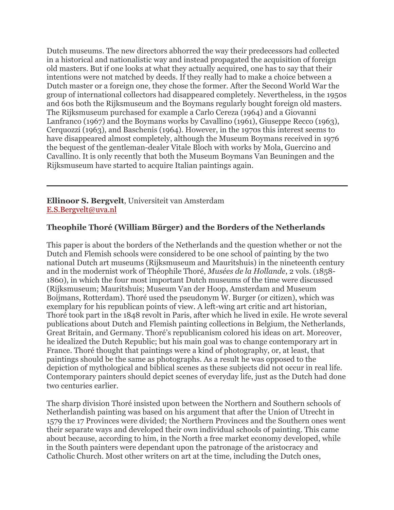Dutch museums. The new directors abhorred the way their predecessors had collected in a historical and nationalistic way and instead propagated the acquisition of foreign old masters. But if one looks at what they actually acquired, one has to say that their intentions were not matched by deeds. If they really had to make a choice between a Dutch master or a foreign one, they chose the former. After the Second World War the group of international collectors had disappeared completely. Nevertheless, in the 1950s and 60s both the Rijksmuseum and the Boymans regularly bought foreign old masters. The Rijksmuseum purchased for example a Carlo Cereza (1964) and a Giovanni Lanfranco (1967) and the Boymans works by Cavallino (1961), Giuseppe Recco (1963), Cerquozzi (1963), and Baschenis (1964). However, in the 1970s this interest seems to have disappeared almost completely, although the Museum Boymans received in 1976 the bequest of the gentleman-dealer Vitale Bloch with works by Mola, Guercino and Cavallino. It is only recently that both the Museum Boymans Van Beuningen and the Rijksmuseum have started to acquire Italian paintings again.

**Ellinoor S. Bergvelt**, Universiteit van Amsterdam E.S.Bergvelt@uva.nl

# **Theophile Thoré (William Bürger) and the Borders of the Netherlands**

This paper is about the borders of the Netherlands and the question whether or not the Dutch and Flemish schools were considered to be one school of painting by the two national Dutch art museums (Rijksmuseum and Mauritshuis) in the nineteenth century and in the modernist work of Théophile Thoré, *Musées de la Hollande*, 2 vols. (1858- 1860), in which the four most important Dutch museums of the time were discussed (Rijksmuseum; Mauritshuis; Museum Van der Hoop, Amsterdam and Museum Boijmans, Rotterdam). Thoré used the pseudonym W. Burger (or citizen), which was exemplary for his republican points of view. A left-wing art critic and art historian, Thoré took part in the 1848 revolt in Paris, after which he lived in exile. He wrote several publications about Dutch and Flemish painting collections in Belgium, the Netherlands, Great Britain, and Germany. Thoré's republicanism colored his ideas on art. Moreover, he idealized the Dutch Republic; but his main goal was to change contemporary art in France. Thoré thought that paintings were a kind of photography, or, at least, that paintings should be the same as photographs. As a result he was opposed to the depiction of mythological and biblical scenes as these subjects did not occur in real life. Contemporary painters should depict scenes of everyday life, just as the Dutch had done two centuries earlier.

The sharp division Thoré insisted upon between the Northern and Southern schools of Netherlandish painting was based on his argument that after the Union of Utrecht in 1579 the 17 Provinces were divided; the Northern Provinces and the Southern ones went their separate ways and developed their own individual schools of painting. This came about because, according to him, in the North a free market economy developed, while in the South painters were dependant upon the patronage of the aristocracy and Catholic Church. Most other writers on art at the time, including the Dutch ones,